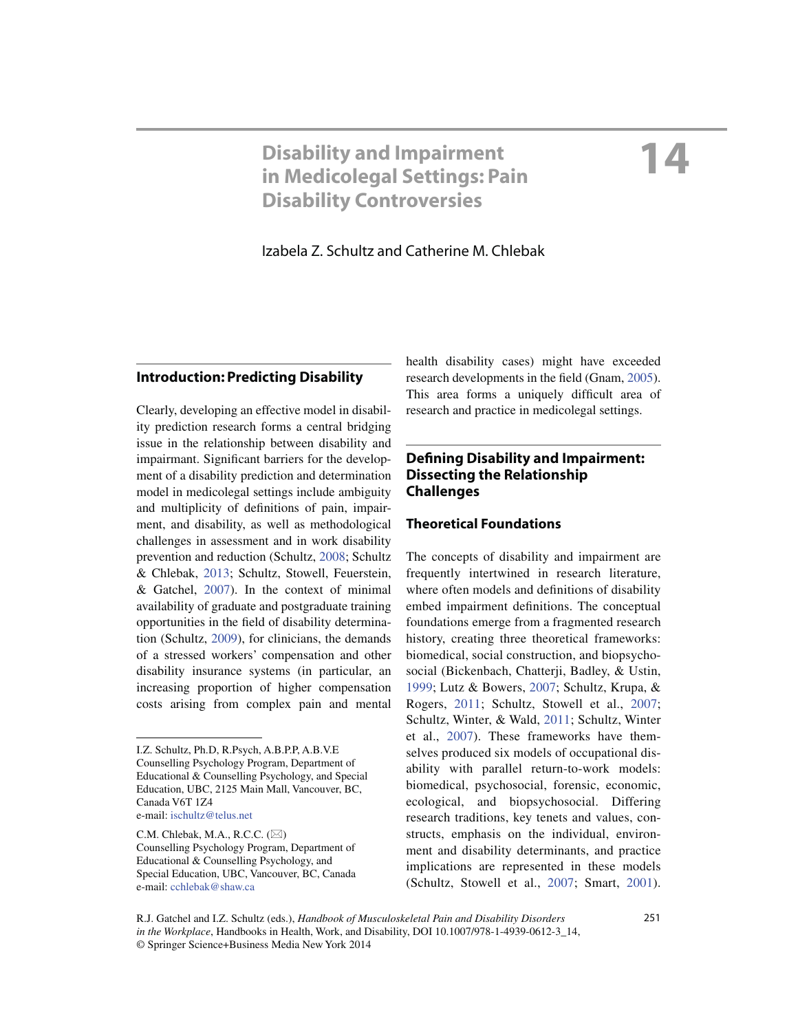# **14 Disability and Impairment in Medicolegal Settings: Pain Disability Controversies**

Izabela Z. Schultz and Catherine M. Chlebak

# **Introduction: Predicting Disability**

 Clearly, developing an effective model in disability prediction research forms a central bridging issue in the relationship between disability and impairmant. Significant barriers for the development of a disability prediction and determination model in medicolegal settings include ambiguity and multiplicity of definitions of pain, impairment, and disability, as well as methodological challenges in assessment and in work disability prevention and reduction (Schultz, 2008; Schultz & Chlebak, 2013; Schultz, Stowell, Feuerstein,  $&$  Gatchel, 2007). In the context of minimal availability of graduate and postgraduate training opportunities in the field of disability determination (Schultz, 2009), for clinicians, the demands of a stressed workers' compensation and other disability insurance systems (in particular, an increasing proportion of higher compensation costs arising from complex pain and mental

health disability cases) might have exceeded research developments in the field (Gnam, 2005). This area forms a uniquely difficult area of research and practice in medicolegal settings.

# **Defining Disability and Impairment: Dissecting the Relationship Challenges**

## **Theoretical Foundations**

 The concepts of disability and impairment are frequently intertwined in research literature, where often models and definitions of disability embed impairment definitions. The conceptual foundations emerge from a fragmented research history, creating three theoretical frameworks: biomedical, social construction, and biopsychosocial (Bickenbach, Chatterji, Badley, & Ustin, 1999; Lutz & Bowers, 2007; Schultz, Krupa, & Rogers, 2011; Schultz, Stowell et al., 2007; Schultz, Winter, & Wald, 2011; Schultz, Winter et al., 2007). These frameworks have themselves produced six models of occupational disability with parallel return-to-work models: biomedical, psychosocial, forensic, economic, ecological, and biopsychosocial. Differing research traditions, key tenets and values, constructs, emphasis on the individual, environment and disability determinants, and practice implications are represented in these models (Schultz, Stowell et al., 2007; Smart, 2001).

I. Z. Schultz , Ph.D, R.Psych, A.B.P.P, A.B.V.E Counselling Psychology Program, Department of Educational & Counselling Psychology, and Special Education, UBC, 2125 Main Mall, Vancouver, BC, Canada V6T 1Z4 e-mail: ischultz@telus.net

C.M. Chlebak, M.A., R.C.C.  $(\boxtimes)$  Counselling Psychology Program, Department of Educational & Counselling Psychology, and Special Education, UBC, Vancouver, BC, Canada e-mail: cchlebak@shaw.ca

R.J. Gatchel and I.Z. Schultz (eds.), *Handbook of Musculoskeletal Pain and Disability Disorders* 251 *in the Workplace*, Handbooks in Health, Work, and Disability, DOI 10.1007/978-1-4939-0612-3\_14, © Springer Science+Business Media New York 2014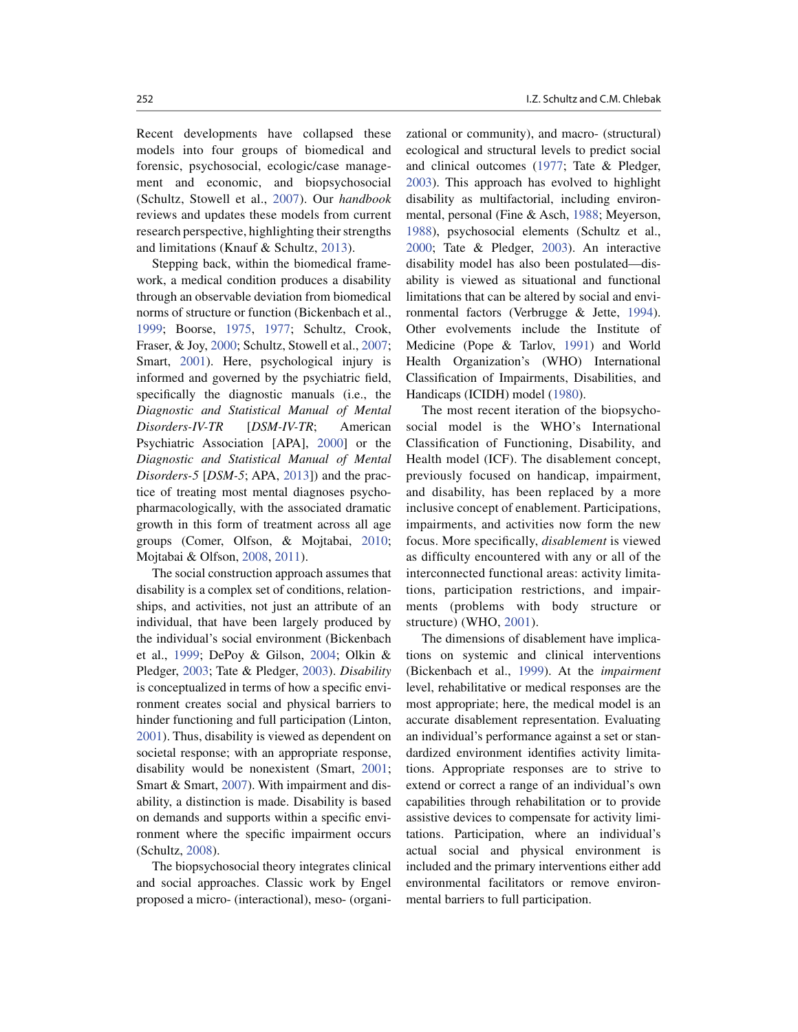Recent developments have collapsed these models into four groups of biomedical and forensic, psychosocial, ecologic/case management and economic, and biopsychosocial (Schultz, Stowell et al., 2007 ). Our *handbook* reviews and updates these models from current research perspective, highlighting their strengths and limitations (Knauf & Schultz, 2013).

 Stepping back, within the biomedical framework, a medical condition produces a disability through an observable deviation from biomedical norms of structure or function (Bickenbach et al., 1999; Boorse, 1975, 1977; Schultz, Crook, Fraser, & Joy, 2000; Schultz, Stowell et al., 2007; Smart, 2001). Here, psychological injury is informed and governed by the psychiatric field, specifically the diagnostic manuals (i.e., the *Diagnostic and Statistical Manual of Mental Disorders-IV-TR* [ *DSM-IV-TR* ; American Psychiatric Association [APA], 2000] or the *Diagnostic and Statistical Manual of Mental Disorders-5* [*DSM-5*; APA, 2013]) and the practice of treating most mental diagnoses psychopharmacologically, with the associated dramatic growth in this form of treatment across all age groups (Comer, Olfson, & Mojtabai, 2010; Mojtabai & Olfson, 2008, 2011).

 The social construction approach assumes that disability is a complex set of conditions, relationships, and activities, not just an attribute of an individual, that have been largely produced by the individual's social environment (Bickenbach et al., 1999; DePoy & Gilson, 2004; Olkin & Pledger, 2003; Tate & Pledger, 2003). *Disability* is conceptualized in terms of how a specific environment creates social and physical barriers to hinder functioning and full participation (Linton, 2001). Thus, disability is viewed as dependent on societal response; with an appropriate response, disability would be nonexistent (Smart, 2001; Smart & Smart, 2007). With impairment and disability, a distinction is made. Disability is based on demands and supports within a specific environment where the specific impairment occurs (Schultz, 2008).

 The biopsychosocial theory integrates clinical and social approaches. Classic work by Engel proposed a micro- (interactional), meso- (organizational or community), and macro- (structural) ecological and structural levels to predict social and clinical outcomes  $(1977;$  Tate & Pledger, 2003). This approach has evolved to highlight disability as multifactorial, including environmental, personal (Fine & Asch, 1988; Meyerson, 1988), psychosocial elements (Schultz et al., 2000; Tate & Pledger, 2003). An interactive disability model has also been postulated—disability is viewed as situational and functional limitations that can be altered by social and environmental factors (Verbrugge & Jette, 1994). Other evolvements include the Institute of Medicine (Pope & Tarlov, 1991) and World Health Organization's (WHO) International Classification of Impairments, Disabilities, and Handicaps (ICIDH) model (1980).

 The most recent iteration of the biopsychosocial model is the WHO's International Classification of Functioning, Disability, and Health model (ICF). The disablement concept, previously focused on handicap, impairment, and disability, has been replaced by a more inclusive concept of enablement. Participations, impairments, and activities now form the new focus. More specifically, *disablement* is viewed as difficulty encountered with any or all of the interconnected functional areas: activity limitations, participation restrictions, and impairments (problems with body structure or structure) (WHO, 2001).

 The dimensions of disablement have implications on systemic and clinical interventions (Bickenbach et al., 1999 ). At the *impairment* level, rehabilitative or medical responses are the most appropriate; here, the medical model is an accurate disablement representation. Evaluating an individual's performance against a set or standardized environment identifies activity limitations. Appropriate responses are to strive to extend or correct a range of an individual's own capabilities through rehabilitation or to provide assistive devices to compensate for activity limitations. Participation, where an individual's actual social and physical environment is included and the primary interventions either add environmental facilitators or remove environmental barriers to full participation.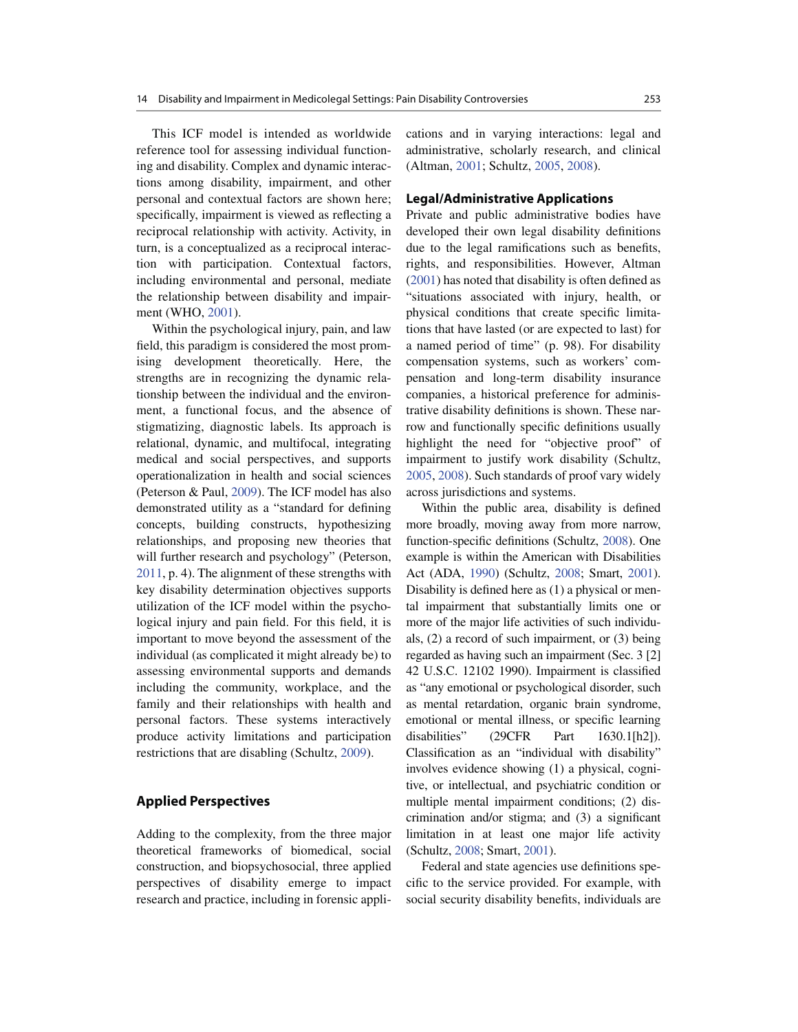This ICF model is intended as worldwide reference tool for assessing individual functioning and disability. Complex and dynamic interactions among disability, impairment, and other personal and contextual factors are shown here; specifically, impairment is viewed as reflecting a reciprocal relationship with activity. Activity, in turn, is a conceptualized as a reciprocal interaction with participation. Contextual factors, including environmental and personal, mediate the relationship between disability and impairment (WHO, 2001).

 Within the psychological injury, pain, and law field, this paradigm is considered the most promising development theoretically. Here, the strengths are in recognizing the dynamic relationship between the individual and the environment, a functional focus, and the absence of stigmatizing, diagnostic labels. Its approach is relational, dynamic, and multifocal, integrating medical and social perspectives, and supports operationalization in health and social sciences (Peterson & Paul, 2009 ). The ICF model has also demonstrated utility as a "standard for defining concepts, building constructs, hypothesizing relationships, and proposing new theories that will further research and psychology" (Peterson, 2011 , p. 4). The alignment of these strengths with key disability determination objectives supports utilization of the ICF model within the psychological injury and pain field. For this field, it is important to move beyond the assessment of the individual (as complicated it might already be) to assessing environmental supports and demands including the community, workplace, and the family and their relationships with health and personal factors. These systems interactively produce activity limitations and participation restrictions that are disabling (Schultz, 2009).

#### **Applied Perspectives**

 Adding to the complexity, from the three major theoretical frameworks of biomedical, social construction, and biopsychosocial, three applied perspectives of disability emerge to impact research and practice, including in forensic applications and in varying interactions: legal and administrative, scholarly research, and clinical (Altman, 2001; Schultz, 2005, 2008).

#### **Legal/Administrative Applications**

 Private and public administrative bodies have developed their own legal disability definitions due to the legal ramifications such as benefits. rights, and responsibilities. However, Altman  $(2001)$  has noted that disability is often defined as "situations associated with injury, health, or physical conditions that create specific limitations that have lasted (or are expected to last) for a named period of time" (p. 98). For disability compensation systems, such as workers' compensation and long-term disability insurance companies, a historical preference for administrative disability definitions is shown. These narrow and functionally specific definitions usually highlight the need for "objective proof" of impairment to justify work disability (Schultz, 2005 , 2008 ). Such standards of proof vary widely across jurisdictions and systems.

Within the public area, disability is defined more broadly, moving away from more narrow, function-specific definitions (Schultz, 2008). One example is within the American with Disabilities Act (ADA, 1990) (Schultz, 2008; Smart, 2001). Disability is defined here as  $(1)$  a physical or mental impairment that substantially limits one or more of the major life activities of such individuals, (2) a record of such impairment, or (3) being regarded as having such an impairment (Sec. 3 [2] 42 U.S.C. 12102 1990). Impairment is classified as "any emotional or psychological disorder, such as mental retardation, organic brain syndrome, emotional or mental illness, or specific learning disabilities" (29CFR Part 1630.1[h2]). Classification as an "individual with disability" involves evidence showing (1) a physical, cognitive, or intellectual, and psychiatric condition or multiple mental impairment conditions; (2) discrimination and/or stigma; and  $(3)$  a significant limitation in at least one major life activity (Schultz, 2008; Smart, 2001).

Federal and state agencies use definitions specific to the service provided. For example, with social security disability benefits, individuals are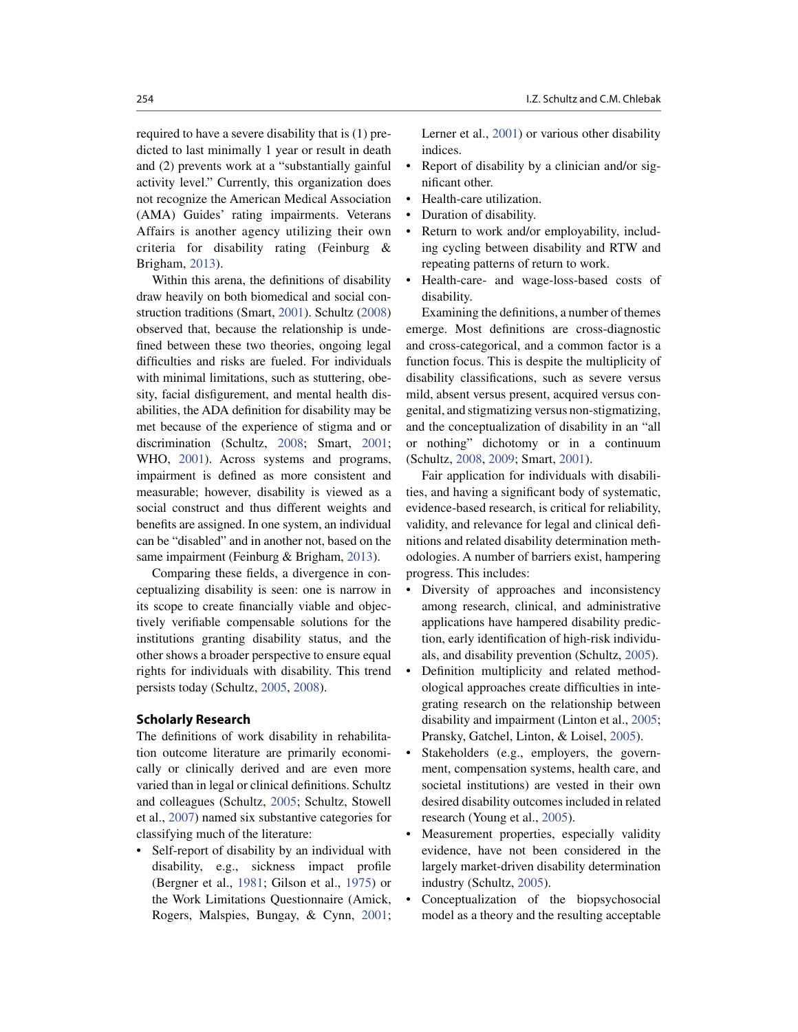required to have a severe disability that is (1) predicted to last minimally 1 year or result in death and (2) prevents work at a "substantially gainful activity level." Currently, this organization does not recognize the American Medical Association (AMA) Guides' rating impairments. Veterans Affairs is another agency utilizing their own criteria for disability rating (Feinburg & Brigham, 2013).

Within this arena, the definitions of disability draw heavily on both biomedical and social construction traditions (Smart, 2001). Schultz (2008) observed that, because the relationship is undefined between these two theories, ongoing legal difficulties and risks are fueled. For individuals with minimal limitations, such as stuttering, obesity, facial disfigurement, and mental health disabilities, the ADA definition for disability may be met because of the experience of stigma and or discrimination (Schultz, 2008; Smart, 2001; WHO, 2001). Across systems and programs, impairment is defined as more consistent and measurable; however, disability is viewed as a social construct and thus different weights and benefits are assigned. In one system, an individual can be "disabled" and in another not, based on the same impairment (Feinburg & Brigham, 2013).

Comparing these fields, a divergence in conceptualizing disability is seen: one is narrow in its scope to create financially viable and objectively verifiable compensable solutions for the institutions granting disability status, and the other shows a broader perspective to ensure equal rights for individuals with disability. This trend persists today (Schultz, 2005, 2008).

#### **Scholarly Research**

The definitions of work disability in rehabilitation outcome literature are primarily economically or clinically derived and are even more varied than in legal or clinical definitions. Schultz and colleagues (Schultz, 2005; Schultz, Stowell et al., 2007) named six substantive categories for classifying much of the literature:

• Self-report of disability by an individual with disability, e.g., sickness impact profile (Bergner et al., 1981; Gilson et al., 1975) or the Work Limitations Questionnaire (Amick, Rogers, Malspies, Bungay, & Cynn, 2001;

Lerner et al., 2001) or various other disability indices.

- Report of disability by a clinician and/or significant other.
- Health-care utilization.
- Duration of disability.
- Return to work and/or employability, including cycling between disability and RTW and repeating patterns of return to work.
- Health-care- and wage-loss-based costs of disability.

Examining the definitions, a number of themes emerge. Most definitions are cross-diagnostic and cross-categorical, and a common factor is a function focus. This is despite the multiplicity of disability classifications, such as severe versus mild, absent versus present, acquired versus congenital, and stigmatizing versus non- stigmatizing, and the conceptualization of disability in an "all or nothing" dichotomy or in a continuum (Schultz, 2008, 2009; Smart, 2001).

 Fair application for individuals with disabilities, and having a significant body of systematic, evidence-based research, is critical for reliability, validity, and relevance for legal and clinical definitions and related disability determination methodologies. A number of barriers exist, hampering progress. This includes:

- Diversity of approaches and inconsistency among research, clinical, and administrative applications have hampered disability prediction, early identification of high-risk individuals, and disability prevention (Schultz, 2005 ).
- Definition multiplicity and related methodological approaches create difficulties in integrating research on the relationship between disability and impairment (Linton et al., 2005; Pransky, Gatchel, Linton, & Loisel, 2005).
- Stakeholders (e.g., employers, the government, compensation systems, health care, and societal institutions) are vested in their own desired disability outcomes included in related research (Young et al., 2005).
- Measurement properties, especially validity evidence, have not been considered in the largely market-driven disability determination industry (Schultz, 2005).
- Conceptualization of the biopsychosocial model as a theory and the resulting acceptable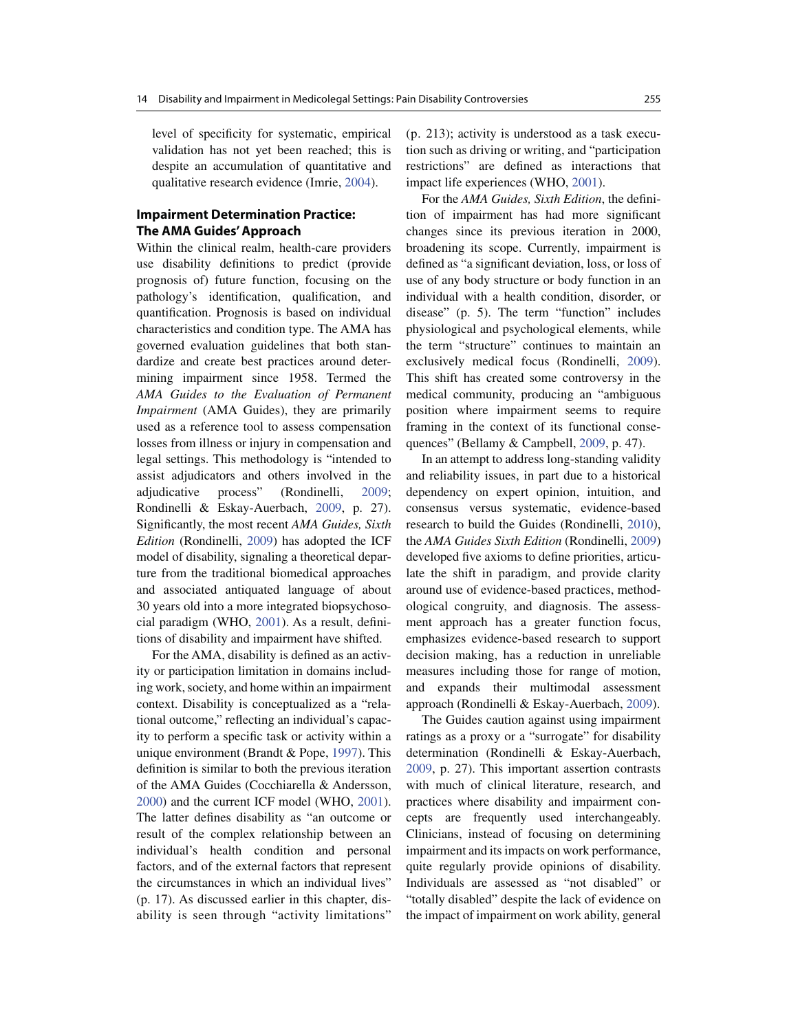level of specificity for systematic, empirical validation has not yet been reached; this is despite an accumulation of quantitative and qualitative research evidence (Imrie, 2004).

# **Impairment Determination Practice: The AMA Guides' Approach**

 Within the clinical realm, health-care providers use disability definitions to predict (provide prognosis of) future function, focusing on the pathology's identification, qualification, and quantification. Prognosis is based on individual characteristics and condition type. The AMA has governed evaluation guidelines that both standardize and create best practices around determining impairment since 1958. Termed the *AMA Guides to the Evaluation of Permanent Impairment* (AMA Guides), they are primarily used as a reference tool to assess compensation losses from illness or injury in compensation and legal settings. This methodology is "intended to assist adjudicators and others involved in the adjudicative process" (Rondinelli, 2009; Rondinelli & Eskay-Auerbach, 2009, p. 27). Significantly, the most recent *AMA Guides, Sixth Edition* (Rondinelli, 2009) has adopted the ICF model of disability, signaling a theoretical departure from the traditional biomedical approaches and associated antiquated language of about 30 years old into a more integrated biopsychosocial paradigm (WHO,  $2001$ ). As a result, definitions of disability and impairment have shifted.

For the AMA, disability is defined as an activity or participation limitation in domains including work, society, and home within an impairment context. Disability is conceptualized as a "relational outcome," reflecting an individual's capacity to perform a specific task or activity within a unique environment (Brandt & Pope, 1997). This definition is similar to both the previous iteration of the AMA Guides (Cocchiarella & Andersson, 2000) and the current ICF model (WHO, 2001). The latter defines disability as "an outcome or result of the complex relationship between an individual's health condition and personal factors, and of the external factors that represent the circumstances in which an individual lives" (p. 17). As discussed earlier in this chapter, disability is seen through "activity limitations"

(p. 213); activity is understood as a task execution such as driving or writing, and "participation restrictions" are defined as interactions that impact life experiences (WHO, 2001).

For the *AMA Guides*, *Sixth Edition*, the definition of impairment has had more significant changes since its previous iteration in 2000, broadening its scope. Currently, impairment is defined as "a significant deviation, loss, or loss of use of any body structure or body function in an individual with a health condition, disorder, or disease" (p. 5). The term "function" includes physiological and psychological elements, while the term "structure" continues to maintain an exclusively medical focus (Rondinelli, 2009). This shift has created some controversy in the medical community, producing an "ambiguous position where impairment seems to require framing in the context of its functional consequences" (Bellamy & Campbell, 2009, p. 47).

 In an attempt to address long-standing validity and reliability issues, in part due to a historical dependency on expert opinion, intuition, and consensus versus systematic, evidence-based research to build the Guides (Rondinelli, 2010), the *AMA Guides Sixth Edition* (Rondinelli, 2009 ) developed five axioms to define priorities, articulate the shift in paradigm, and provide clarity around use of evidence-based practices, methodological congruity, and diagnosis. The assessment approach has a greater function focus, emphasizes evidence-based research to support decision making, has a reduction in unreliable measures including those for range of motion, and expands their multimodal assessment approach (Rondinelli & Eskay-Auerbach, 2009 ).

 The Guides caution against using impairment ratings as a proxy or a "surrogate" for disability determination (Rondinelli & Eskay-Auerbach, 2009 , p. 27). This important assertion contrasts with much of clinical literature, research, and practices where disability and impairment concepts are frequently used interchangeably. Clinicians, instead of focusing on determining impairment and its impacts on work performance, quite regularly provide opinions of disability. Individuals are assessed as "not disabled" or "totally disabled" despite the lack of evidence on the impact of impairment on work ability, general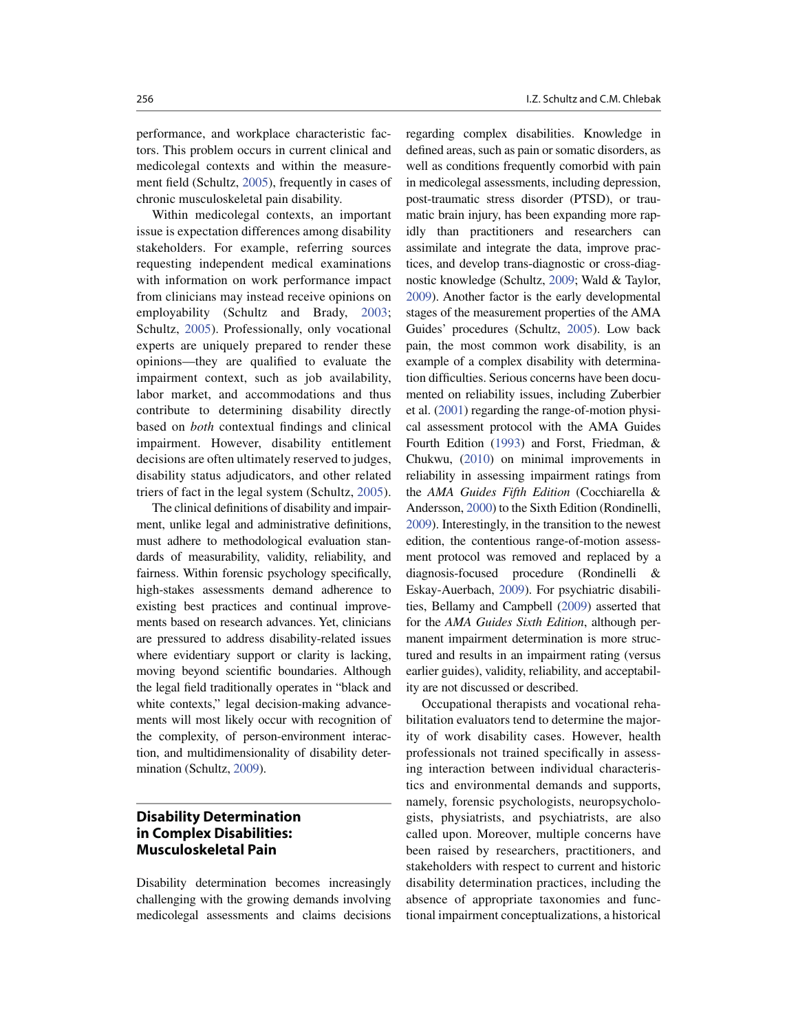performance, and workplace characteristic factors. This problem occurs in current clinical and medicolegal contexts and within the measurement field (Schultz, 2005), frequently in cases of chronic musculoskeletal pain disability.

 Within medicolegal contexts, an important issue is expectation differences among disability stakeholders. For example, referring sources requesting independent medical examinations with information on work performance impact from clinicians may instead receive opinions on employability (Schultz and Brady, 2003; Schultz, 2005). Professionally, only vocational experts are uniquely prepared to render these opinions—they are qualified to evaluate the impairment context, such as job availability, labor market, and accommodations and thus contribute to determining disability directly based on *both* contextual findings and clinical impairment. However, disability entitlement decisions are often ultimately reserved to judges, disability status adjudicators, and other related triers of fact in the legal system (Schultz, 2005 ).

The clinical definitions of disability and impairment, unlike legal and administrative definitions, must adhere to methodological evaluation standards of measurability, validity, reliability, and fairness. Within forensic psychology specifically, high-stakes assessments demand adherence to existing best practices and continual improvements based on research advances. Yet, clinicians are pressured to address disability- related issues where evidentiary support or clarity is lacking, moving beyond scientific boundaries. Although the legal field traditionally operates in "black and white contexts," legal decision-making advancements will most likely occur with recognition of the complexity, of person-environment interaction, and multidimensionality of disability determination (Schultz, 2009).

# **Disability Determination in Complex Disabilities: Musculoskeletal Pain**

 Disability determination becomes increasingly challenging with the growing demands involving medicolegal assessments and claims decisions

regarding complex disabilities. Knowledge in defined areas, such as pain or somatic disorders, as well as conditions frequently comorbid with pain in medicolegal assessments, including depression, post-traumatic stress disorder (PTSD), or traumatic brain injury, has been expanding more rapidly than practitioners and researchers can assimilate and integrate the data, improve practices, and develop trans-diagnostic or cross-diagnostic knowledge (Schultz, 2009; Wald & Taylor, 2009 ). Another factor is the early developmental stages of the measurement properties of the AMA Guides' procedures (Schultz, 2005). Low back pain, the most common work disability, is an example of a complex disability with determination difficulties. Serious concerns have been documented on reliability issues, including Zuberbier et al.  $(2001)$  regarding the range-of-motion physical assessment protocol with the AMA Guides Fourth Edition (1993) and Forst, Friedman, & Chukwu, (2010) on minimal improvements in reliability in assessing impairment ratings from the *AMA Guides Fifth Edition* (Cocchiarella & Andersson, 2000) to the Sixth Edition (Rondinelli, 2009 ). Interestingly, in the transition to the newest edition, the contentious range-of-motion assessment protocol was removed and replaced by a diagnosis-focused procedure (Rondinelli & Eskay-Auerbach, 2009). For psychiatric disabilities, Bellamy and Campbell (2009) asserted that for the *AMA Guides Sixth Edition*, although permanent impairment determination is more structured and results in an impairment rating (versus earlier guides), validity, reliability, and acceptability are not discussed or described.

 Occupational therapists and vocational rehabilitation evaluators tend to determine the majority of work disability cases. However, health professionals not trained specifically in assessing interaction between individual characteristics and environmental demands and supports, namely, forensic psychologists, neuropsychologists, physiatrists, and psychiatrists, are also called upon. Moreover, multiple concerns have been raised by researchers, practitioners, and stakeholders with respect to current and historic disability determination practices, including the absence of appropriate taxonomies and functional impairment conceptualizations, a historical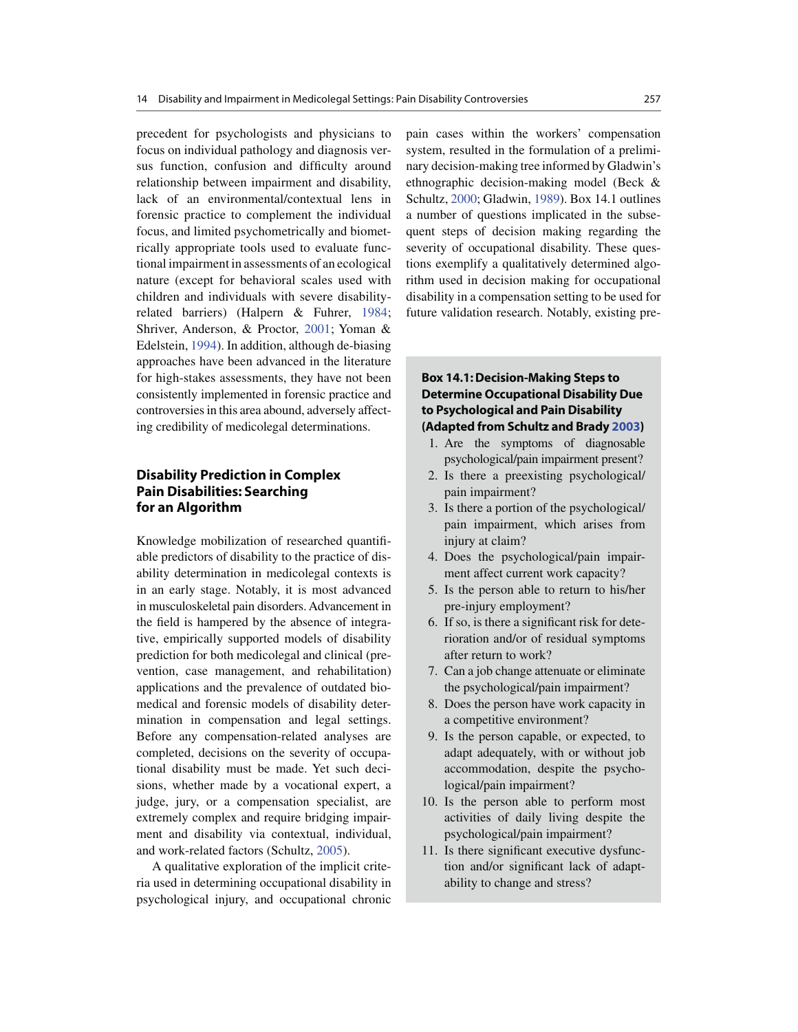precedent for psychologists and physicians to focus on individual pathology and diagnosis versus function, confusion and difficulty around relationship between impairment and disability, lack of an environmental/contextual lens in forensic practice to complement the individual focus, and limited psychometrically and biometrically appropriate tools used to evaluate functional impairment in assessments of an ecological nature (except for behavioral scales used with children and individuals with severe disabilityrelated barriers) (Halpern & Fuhrer, 1984; Shriver, Anderson, & Proctor, 2001; Yoman & Edelstein, 1994). In addition, although de-biasing approaches have been advanced in the literature for high-stakes assessments, they have not been consistently implemented in forensic practice and controversies in this area abound, adversely affecting credibility of medicolegal determinations.

# **Disability Prediction in Complex Pain Disabilities: Searching for an Algorithm**

Knowledge mobilization of researched quantifiable predictors of disability to the practice of disability determination in medicolegal contexts is in an early stage. Notably, it is most advanced in musculoskeletal pain disorders. Advancement in the field is hampered by the absence of integrative, empirically supported models of disability prediction for both medicolegal and clinical (prevention, case management, and rehabilitation) applications and the prevalence of outdated biomedical and forensic models of disability determination in compensation and legal settings. Before any compensation-related analyses are completed, decisions on the severity of occupational disability must be made. Yet such decisions, whether made by a vocational expert, a judge, jury, or a compensation specialist, are extremely complex and require bridging impairment and disability via contextual, individual, and work-related factors (Schultz, 2005 ).

 A qualitative exploration of the implicit criteria used in determining occupational disability in psychological injury, and occupational chronic pain cases within the workers' compensation system, resulted in the formulation of a preliminary decision-making tree informed by Gladwin's ethnographic decision-making model (Beck & Schultz, 2000; Gladwin, 1989). Box 14.1 outlines a number of questions implicated in the subsequent steps of decision making regarding the severity of occupational disability. These questions exemplify a qualitatively determined algorithm used in decision making for occupational disability in a compensation setting to be used for future validation research. Notably, existing pre-

# **Box 14.1: Decision-Making Steps to Determine Occupational Disability Due to Psychological and Pain Disability (Adapted from Schultz and Brady 2003 )**

- 1. Are the symptoms of diagnosable psychological/pain impairment present?
- 2. Is there a preexisting psychological/ pain impairment?
- 3. Is there a portion of the psychological/ pain impairment, which arises from injury at claim?
- 4. Does the psychological/pain impairment affect current work capacity?
- 5. Is the person able to return to his/her pre- injury employment?
- 6. If so, is there a significant risk for deterioration and/or of residual symptoms after return to work?
- 7. Can a job change attenuate or eliminate the psychological/pain impairment?
- 8. Does the person have work capacity in a competitive environment?
- 9. Is the person capable, or expected, to adapt adequately, with or without job accommodation, despite the psychological/pain impairment?
- 10. Is the person able to perform most activities of daily living despite the psychological/pain impairment?
- 11. Is there significant executive dysfunction and/or significant lack of adaptability to change and stress?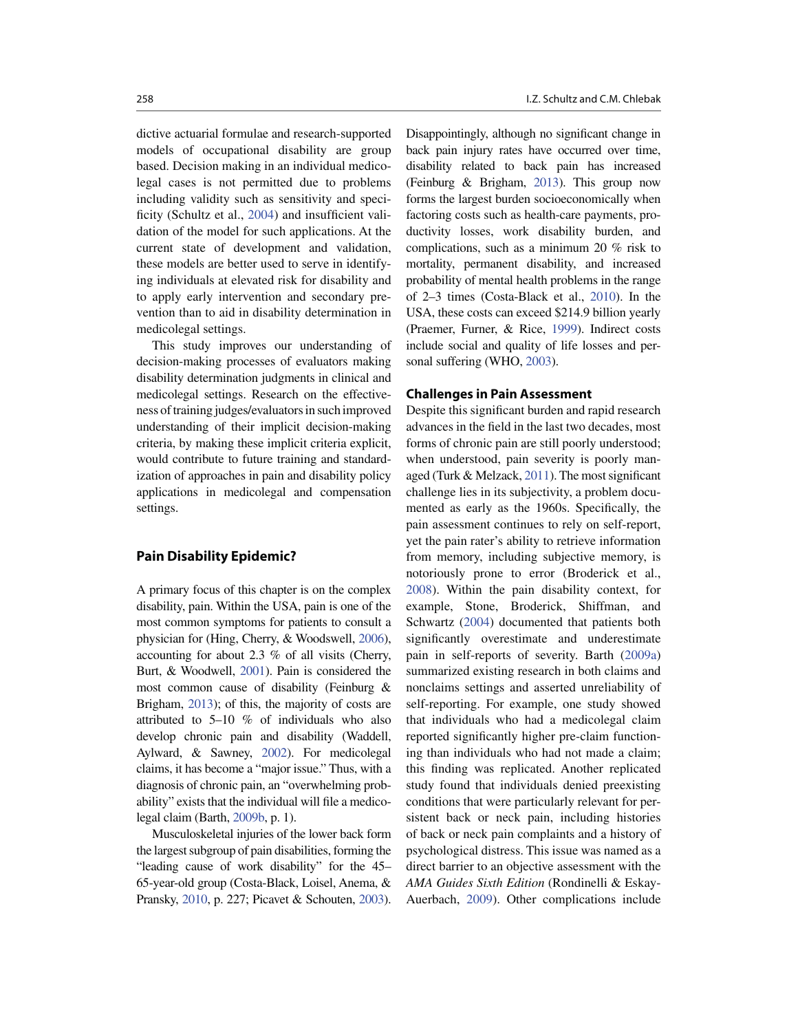dictive actuarial formulae and research-supported models of occupational disability are group based. Decision making in an individual medicolegal cases is not permitted due to problems including validity such as sensitivity and specificity (Schultz et al., 2004) and insufficient validation of the model for such applications. At the current state of development and validation, these models are better used to serve in identifying individuals at elevated risk for disability and to apply early intervention and secondary prevention than to aid in disability determination in medicolegal settings.

 This study improves our understanding of decision-making processes of evaluators making disability determination judgments in clinical and medicolegal settings. Research on the effectiveness of training judges/evaluators in such improved understanding of their implicit decision- making criteria, by making these implicit criteria explicit, would contribute to future training and standardization of approaches in pain and disability policy applications in medicolegal and compensation settings.

#### **Pain Disability Epidemic?**

 A primary focus of this chapter is on the complex disability, pain. Within the USA, pain is one of the most common symptoms for patients to consult a physician for (Hing, Cherry, & Woodswell, 2006), accounting for about 2.3 % of all visits (Cherry, Burt, & Woodwell, 2001). Pain is considered the most common cause of disability (Feinburg & Brigham, 2013); of this, the majority of costs are attributed to  $5-10\%$  of individuals who also develop chronic pain and disability (Waddell, Aylward, & Sawney, 2002). For medicolegal claims, it has become a "major issue." Thus, with a diagnosis of chronic pain, an "overwhelming probability" exists that the individual will file a medicolegal claim (Barth, 2009b, p. 1).

 Musculoskeletal injuries of the lower back form the largest subgroup of pain disabilities, forming the "leading cause of work disability" for the 45– 65-year-old group (Costa-Black, Loisel, Anema, & Pransky, 2010, p. 227; Picavet & Schouten, 2003). Disappointingly, although no significant change in back pain injury rates have occurred over time, disability related to back pain has increased (Feinburg  $\&$  Brigham, 2013). This group now forms the largest burden socioeconomically when factoring costs such as health-care payments, productivity losses, work disability burden, and complications, such as a minimum 20 % risk to mortality, permanent disability, and increased probability of mental health problems in the range of 2–3 times (Costa-Black et al., 2010). In the USA, these costs can exceed \$214.9 billion yearly (Praemer, Furner, & Rice, 1999). Indirect costs include social and quality of life losses and personal suffering (WHO, 2003).

#### **Challenges in Pain Assessment**

Despite this significant burden and rapid research advances in the field in the last two decades, most forms of chronic pain are still poorly understood; when understood, pain severity is poorly managed (Turk  $&$  Melzack, 2011). The most significant challenge lies in its subjectivity, a problem documented as early as the 1960s. Specifically, the pain assessment continues to rely on self- report, yet the pain rater's ability to retrieve information from memory, including subjective memory, is notoriously prone to error (Broderick et al., 2008 ). Within the pain disability context, for example, Stone, Broderick, Shiffman, and Schwartz (2004) documented that patients both significantly overestimate and underestimate pain in self-reports of severity. Barth (2009a) summarized existing research in both claims and nonclaims settings and asserted unreliability of self-reporting. For example, one study showed that individuals who had a medicolegal claim reported significantly higher pre-claim functioning than individuals who had not made a claim; this finding was replicated. Another replicated study found that individuals denied preexisting conditions that were particularly relevant for persistent back or neck pain, including histories of back or neck pain complaints and a history of psychological distress. This issue was named as a direct barrier to an objective assessment with the *AMA Guides Sixth Edition* (Rondinelli & Eskay-Auerbach, 2009). Other complications include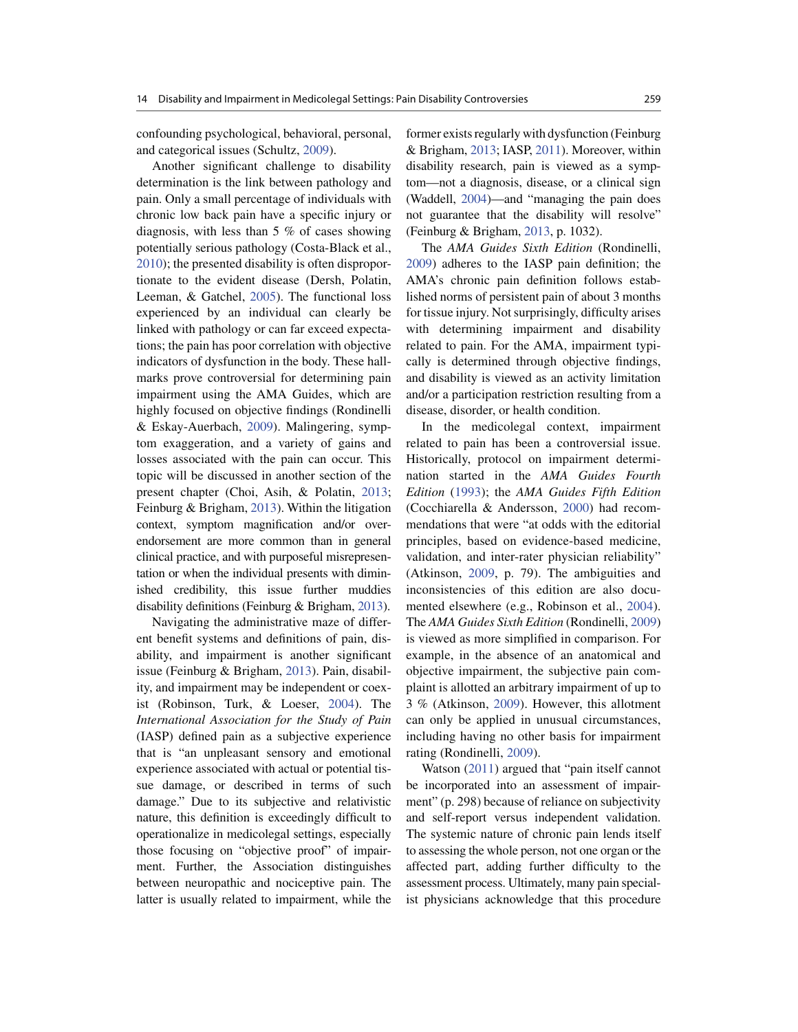confounding psychological, behavioral, personal, and categorical issues (Schultz, 2009).

Another significant challenge to disability determination is the link between pathology and pain. Only a small percentage of individuals with chronic low back pain have a specific injury or diagnosis, with less than 5 % of cases showing potentially serious pathology (Costa-Black et al., 2010 ); the presented disability is often disproportionate to the evident disease (Dersh, Polatin, Leeman, & Gatchel, 2005). The functional loss experienced by an individual can clearly be linked with pathology or can far exceed expectations; the pain has poor correlation with objective indicators of dysfunction in the body. These hallmarks prove controversial for determining pain impairment using the AMA Guides, which are highly focused on objective findings (Rondinelli & Eskay-Auerbach, 2009 ). Malingering, symptom exaggeration, and a variety of gains and losses associated with the pain can occur. This topic will be discussed in another section of the present chapter (Choi, Asih, & Polatin, 2013; Feinburg  $&$  Brigham, 2013). Within the litigation context, symptom magnification and/or overendorsement are more common than in general clinical practice, and with purposeful misrepresentation or when the individual presents with diminished credibility, this issue further muddies disability definitions (Feinburg & Brigham,  $2013$ ).

 Navigating the administrative maze of different benefit systems and definitions of pain, disability, and impairment is another significant issue (Feinburg & Brigham, 2013). Pain, disability, and impairment may be independent or coexist (Robinson, Turk, & Loeser, 2004). The *International Association for the Study of Pain* (IASP) defined pain as a subjective experience that is "an unpleasant sensory and emotional experience associated with actual or potential tissue damage, or described in terms of such damage." Due to its subjective and relativistic nature, this definition is exceedingly difficult to operationalize in medicolegal settings, especially those focusing on "objective proof" of impairment. Further, the Association distinguishes between neuropathic and nociceptive pain. The latter is usually related to impairment, while the

former exists regularly with dysfunction (Feinburg & Brigham, 2013; IASP, 2011). Moreover, within disability research, pain is viewed as a symptom—not a diagnosis, disease, or a clinical sign (Waddell,  $2004$ )—and "managing the pain does not guarantee that the disability will resolve" (Feinburg & Brigham, 2013 , p. 1032).

 The *AMA Guides Sixth Edition* (Rondinelli, 2009) adheres to the IASP pain definition; the AMA's chronic pain definition follows established norms of persistent pain of about 3 months for tissue injury. Not surprisingly, difficulty arises with determining impairment and disability related to pain. For the AMA, impairment typically is determined through objective findings, and disability is viewed as an activity limitation and/or a participation restriction resulting from a disease, disorder, or health condition.

 In the medicolegal context, impairment related to pain has been a controversial issue. Historically, protocol on impairment determination started in the *AMA Guides Fourth Edition* (1993); the *AMA Guides Fifth Edition* (Cocchiarella & Andersson, 2000) had recommendations that were "at odds with the editorial principles, based on evidence-based medicine, validation, and inter-rater physician reliability" (Atkinson, 2009, p. 79). The ambiguities and inconsistencies of this edition are also documented elsewhere (e.g., Robinson et al., 2004). The *AMA Guides Sixth Edition* (Rondinelli, 2009 ) is viewed as more simplified in comparison. For example, in the absence of an anatomical and objective impairment, the subjective pain complaint is allotted an arbitrary impairment of up to 3 % (Atkinson, 2009 ). However, this allotment can only be applied in unusual circumstances, including having no other basis for impairment rating (Rondinelli, 2009).

Watson  $(2011)$  argued that "pain itself cannot" be incorporated into an assessment of impairment" (p. 298) because of reliance on subjectivity and self-report versus independent validation. The systemic nature of chronic pain lends itself to assessing the whole person, not one organ or the affected part, adding further difficulty to the assessment process. Ultimately, many pain specialist physicians acknowledge that this procedure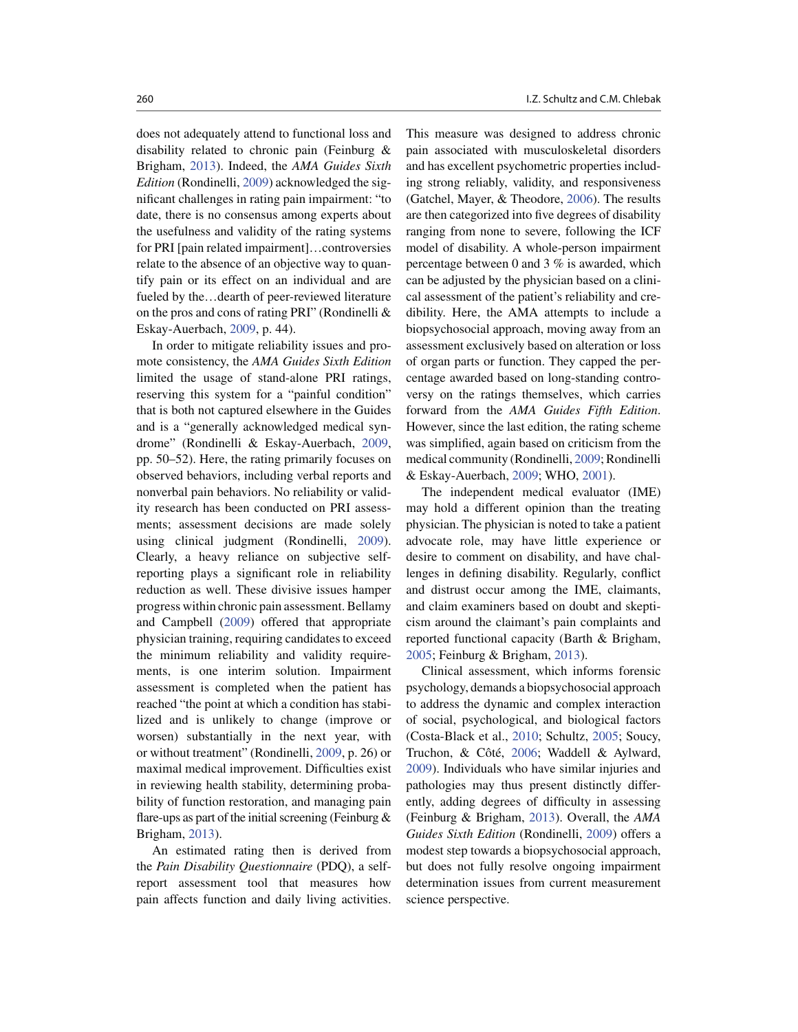does not adequately attend to functional loss and disability related to chronic pain (Feinburg & Brigham, 2013 ). Indeed, the *AMA Guides Sixth Edition* (Rondinelli, 2009) acknowledged the significant challenges in rating pain impairment: "to date, there is no consensus among experts about the usefulness and validity of the rating systems for PRI [pain related impairment]…controversies relate to the absence of an objective way to quantify pain or its effect on an individual and are fueled by the…dearth of peer-reviewed literature on the pros and cons of rating PRI" (Rondinelli & Eskay-Auerbach, 2009, p. 44).

 In order to mitigate reliability issues and promote consistency, the *AMA Guides Sixth Edition* limited the usage of stand-alone PRI ratings, reserving this system for a "painful condition" that is both not captured elsewhere in the Guides and is a "generally acknowledged medical syndrome" (Rondinelli & Eskay-Auerbach, 2009, pp. 50–52). Here, the rating primarily focuses on observed behaviors, including verbal reports and nonverbal pain behaviors. No reliability or validity research has been conducted on PRI assessments; assessment decisions are made solely using clinical judgment (Rondinelli, 2009). Clearly, a heavy reliance on subjective selfreporting plays a significant role in reliability reduction as well. These divisive issues hamper progress within chronic pain assessment. Bellamy and Campbell (2009) offered that appropriate physician training, requiring candidates to exceed the minimum reliability and validity requirements, is one interim solution. Impairment assessment is completed when the patient has reached "the point at which a condition has stabilized and is unlikely to change (improve or worsen) substantially in the next year, with or without treatment" (Rondinelli, 2009 , p. 26) or maximal medical improvement. Difficulties exist in reviewing health stability, determining probability of function restoration, and managing pain flare-ups as part of the initial screening (Feinburg  $\&$ Brigham, 2013).

 An estimated rating then is derived from the *Pain Disability Questionnaire* (PDQ), a selfreport assessment tool that measures how pain affects function and daily living activities.

This measure was designed to address chronic pain associated with musculoskeletal disorders and has excellent psychometric properties including strong reliably, validity, and responsiveness (Gatchel, Mayer, & Theodore, 2006). The results are then categorized into five degrees of disability ranging from none to severe, following the ICF model of disability. A whole-person impairment percentage between 0 and 3 % is awarded, which can be adjusted by the physician based on a clinical assessment of the patient's reliability and credibility. Here, the AMA attempts to include a biopsychosocial approach, moving away from an assessment exclusively based on alteration or loss of organ parts or function. They capped the percentage awarded based on long-standing controversy on the ratings themselves, which carries forward from the *AMA Guides Fifth Edition*. However, since the last edition, the rating scheme was simplified, again based on criticism from the medical community (Rondinelli, 2009; Rondinelli & Eskay- Auerbach, 2009 ; WHO, 2001 ).

 The independent medical evaluator (IME) may hold a different opinion than the treating physician. The physician is noted to take a patient advocate role, may have little experience or desire to comment on disability, and have challenges in defining disability. Regularly, conflict and distrust occur among the IME, claimants, and claim examiners based on doubt and skepticism around the claimant's pain complaints and reported functional capacity (Barth & Brigham, 2005; Feinburg & Brigham, 2013).

 Clinical assessment, which informs forensic psychology, demands a biopsychosocial approach to address the dynamic and complex interaction of social, psychological, and biological factors (Costa-Black et al., 2010; Schultz, 2005; Soucy, Truchon, & Côté, 2006; Waddell & Aylward, 2009 ). Individuals who have similar injuries and pathologies may thus present distinctly differently, adding degrees of difficulty in assessing (Feinburg & Brigham, 2013 ). Overall, the *AMA*  Guides Sixth Edition (Rondinelli, 2009) offers a modest step towards a biopsychosocial approach, but does not fully resolve ongoing impairment determination issues from current measurement science perspective.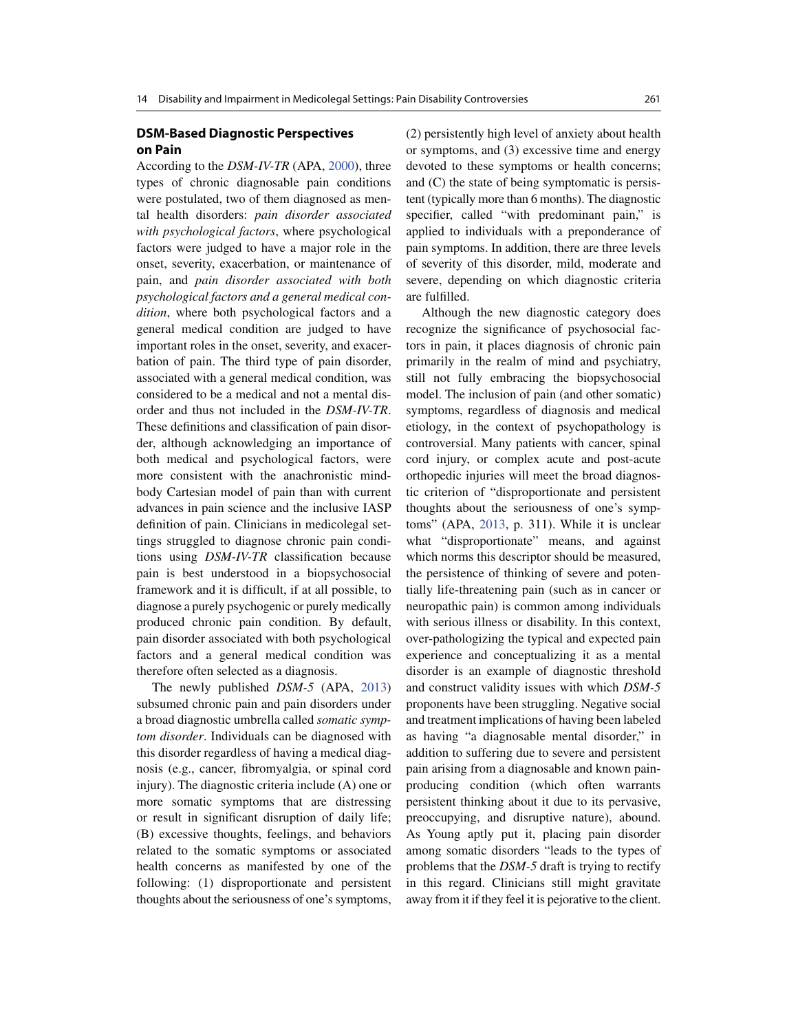### **DSM-Based Diagnostic Perspectives on Pain**

According to the *DSM-IV-TR* (APA, 2000), three types of chronic diagnosable pain conditions were postulated, two of them diagnosed as mental health disorders: *pain disorder associated*  with *psychological factors*, where *psychological* factors were judged to have a major role in the onset, severity, exacerbation, or maintenance of pain, and *pain disorder associated with both psychological factors and a general medical condition*, where both psychological factors and a general medical condition are judged to have important roles in the onset, severity, and exacerbation of pain. The third type of pain disorder, associated with a general medical condition, was considered to be a medical and not a mental disorder and thus not included in the *DSM-IV-TR* . These definitions and classification of pain disorder, although acknowledging an importance of both medical and psychological factors, were more consistent with the anachronistic mindbody Cartesian model of pain than with current advances in pain science and the inclusive IASP definition of pain. Clinicians in medicolegal settings struggled to diagnose chronic pain conditions using *DSM-IV-TR* classification because pain is best understood in a biopsychosocial framework and it is difficult, if at all possible, to diagnose a purely psychogenic or purely medically produced chronic pain condition. By default, pain disorder associated with both psychological factors and a general medical condition was therefore often selected as a diagnosis.

The newly published *DSM-5* (APA, 2013) subsumed chronic pain and pain disorders under a broad diagnostic umbrella called *somatic symptom disorder*. Individuals can be diagnosed with this disorder regardless of having a medical diagnosis (e.g., cancer, fibromyalgia, or spinal cord injury). The diagnostic criteria include (A) one or more somatic symptoms that are distressing or result in significant disruption of daily life; (B) excessive thoughts, feelings, and behaviors related to the somatic symptoms or associated health concerns as manifested by one of the following: (1) disproportionate and persistent thoughts about the seriousness of one's symptoms,

(2) persistently high level of anxiety about health or symptoms, and (3) excessive time and energy devoted to these symptoms or health concerns; and (C) the state of being symptomatic is persistent (typically more than 6 months). The diagnostic specifier, called "with predominant pain," is applied to individuals with a preponderance of pain symptoms. In addition, there are three levels of severity of this disorder, mild, moderate and severe, depending on which diagnostic criteria are fulfilled.

 Although the new diagnostic category does recognize the significance of psychosocial factors in pain, it places diagnosis of chronic pain primarily in the realm of mind and psychiatry, still not fully embracing the biopsychosocial model. The inclusion of pain (and other somatic) symptoms, regardless of diagnosis and medical etiology, in the context of psychopathology is controversial. Many patients with cancer, spinal cord injury, or complex acute and post-acute orthopedic injuries will meet the broad diagnostic criterion of "disproportionate and persistent thoughts about the seriousness of one's symptoms" (APA, 2013, p. 311). While it is unclear what "disproportionate" means, and against which norms this descriptor should be measured, the persistence of thinking of severe and potentially life-threatening pain (such as in cancer or neuropathic pain) is common among individuals with serious illness or disability. In this context, over-pathologizing the typical and expected pain experience and conceptualizing it as a mental disorder is an example of diagnostic threshold and construct validity issues with which *DSM-5* proponents have been struggling. Negative social and treatment implications of having been labeled as having "a diagnosable mental disorder," in addition to suffering due to severe and persistent pain arising from a diagnosable and known painproducing condition (which often warrants persistent thinking about it due to its pervasive, preoccupying, and disruptive nature), abound. As Young aptly put it, placing pain disorder among somatic disorders "leads to the types of problems that the *DSM-5* draft is trying to rectify in this regard. Clinicians still might gravitate away from it if they feel it is pejorative to the client.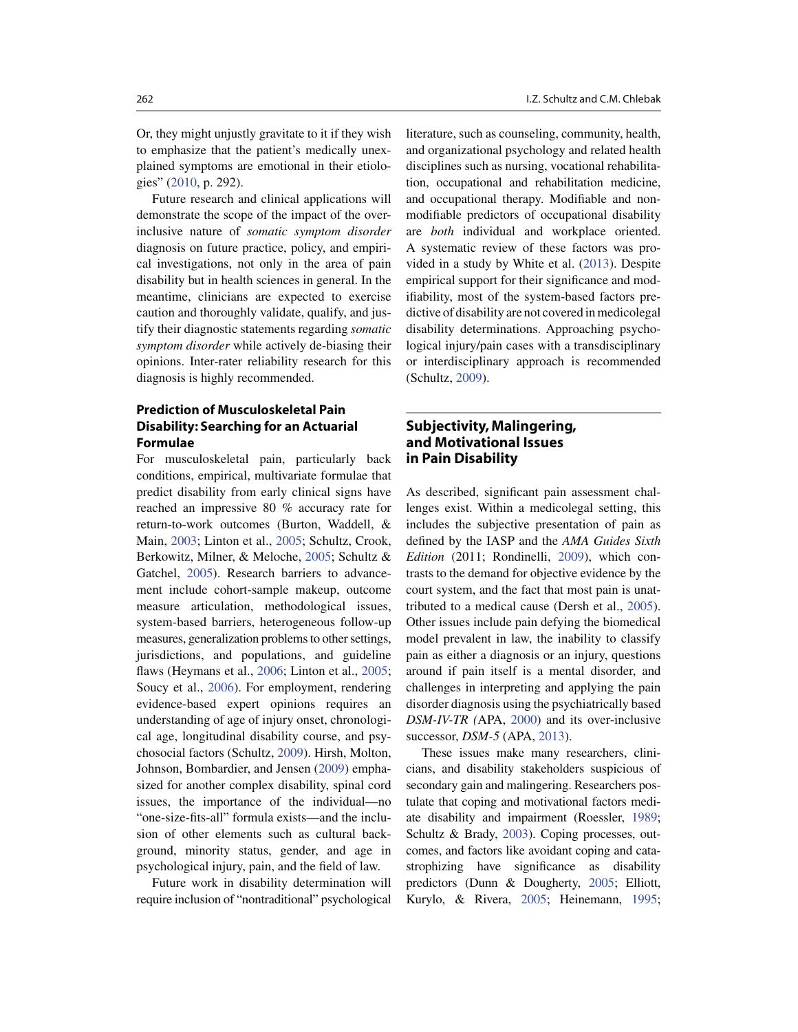Or, they might unjustly gravitate to it if they wish to emphasize that the patient's medically unexplained symptoms are emotional in their etiologies" (2010, p. 292).

 Future research and clinical applications will demonstrate the scope of the impact of the overinclusive nature of *somatic symptom disorder* diagnosis on future practice, policy, and empirical investigations, not only in the area of pain disability but in health sciences in general. In the meantime, clinicians are expected to exercise caution and thoroughly validate, qualify, and justify their diagnostic statements regarding *somatic symptom disorder* while actively de-biasing their opinions. Inter-rater reliability research for this diagnosis is highly recommended.

# **Prediction of Musculoskeletal Pain Disability: Searching for an Actuarial Formulae**

 For musculoskeletal pain, particularly back conditions, empirical, multivariate formulae that predict disability from early clinical signs have reached an impressive 80 % accuracy rate for return-to-work outcomes (Burton, Waddell, & Main, 2003; Linton et al., 2005; Schultz, Crook, Berkowitz, Milner, & Meloche, 2005; Schultz & Gatchel, 2005). Research barriers to advancement include cohort-sample makeup, outcome measure articulation, methodological issues, system- based barriers, heterogeneous follow-up measures, generalization problems to other settings, jurisdictions, and populations, and guideline flaws (Heymans et al.,  $2006$ ; Linton et al.,  $2005$ ; Soucy et al., 2006). For employment, rendering evidence-based expert opinions requires an understanding of age of injury onset, chronological age, longitudinal disability course, and psychosocial factors (Schultz, 2009). Hirsh, Molton, Johnson, Bombardier, and Jensen (2009) emphasized for another complex disability, spinal cord issues, the importance of the individual—no "one-size-fits-all" formula exists—and the inclusion of other elements such as cultural background, minority status, gender, and age in psychological injury, pain, and the field of law.

 Future work in disability determination will require inclusion of "nontraditional" psychological literature, such as counseling, community, health, and organizational psychology and related health disciplines such as nursing, vocational rehabilitation, occupational and rehabilitation medicine, and occupational therapy. Modifiable and nonmodifiable predictors of occupational disability are *both* individual and workplace oriented. A systematic review of these factors was provided in a study by White et al.  $(2013)$ . Despite empirical support for their significance and modifiability, most of the system-based factors predictive of disability are not covered in medicolegal disability determinations. Approaching psychological injury/pain cases with a transdisciplinary or interdisciplinary approach is recommended (Schultz, 2009).

# **Subjectivity, Malingering, and Motivational Issues in Pain Disability**

As described, significant pain assessment challenges exist. Within a medicolegal setting, this includes the subjective presentation of pain as defined by the IASP and the *AMA Guides Sixth* Edition (2011; Rondinelli, 2009), which contrasts to the demand for objective evidence by the court system, and the fact that most pain is unattributed to a medical cause (Dersh et al., 2005). Other issues include pain defying the biomedical model prevalent in law, the inability to classify pain as either a diagnosis or an injury, questions around if pain itself is a mental disorder, and challenges in interpreting and applying the pain disorder diagnosis using the psychiatrically based DSM-IV-TR (APA, 2000) and its over-inclusive successor, *DSM-5* (APA, 2013).

 These issues make many researchers, clinicians, and disability stakeholders suspicious of secondary gain and malingering. Researchers postulate that coping and motivational factors mediate disability and impairment (Roessler, 1989; Schultz & Brady, 2003). Coping processes, outcomes, and factors like avoidant coping and catastrophizing have significance as disability predictors (Dunn & Dougherty, 2005; Elliott, Kurylo, & Rivera, 2005; Heinemann, 1995;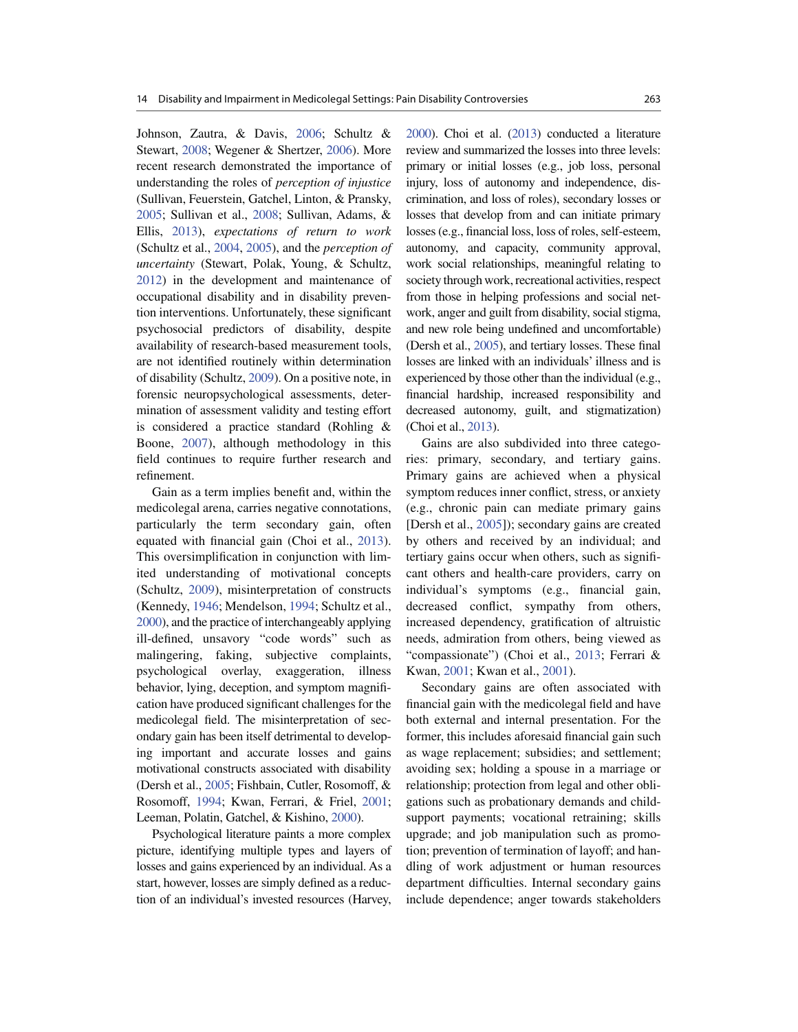Johnson, Zautra, & Davis, 2006; Schultz & Stewart, 2008; Wegener & Shertzer, 2006). More recent research demonstrated the importance of understanding the roles of *perception of injustice* (Sullivan, Feuerstein, Gatchel, Linton, & Pransky, 2005; Sullivan et al., 2008; Sullivan, Adams, & Ellis, 2013), *expectations of return to work* (Schultz et al., 2004, 2005), and the *perception of uncertainty* (Stewart, Polak, Young, & Schultz, 2012) in the development and maintenance of occupational disability and in disability prevention interventions. Unfortunately, these significant psychosocial predictors of disability, despite availability of research-based measurement tools, are not identified routinely within determination of disability (Schultz, 2009 ). On a positive note, in forensic neuropsychological assessments, determination of assessment validity and testing effort is considered a practice standard (Rohling & Boone, 2007), although methodology in this field continues to require further research and refinement.

Gain as a term implies benefit and, within the medicolegal arena, carries negative connotations, particularly the term secondary gain, often equated with financial gain (Choi et al., 2013). This oversimplification in conjunction with limited understanding of motivational concepts (Schultz, 2009), misinterpretation of constructs (Kennedy, 1946; Mendelson, 1994; Schultz et al., 2000 ), and the practice of interchangeably applying ill-defined, unsavory "code words" such as malingering, faking, subjective complaints, psychological overlay, exaggeration, illness behavior, lying, deception, and symptom magnification have produced significant challenges for the medicolegal field. The misinterpretation of secondary gain has been itself detrimental to developing important and accurate losses and gains motivational constructs associated with disability (Dersh et al., 2005; Fishbain, Cutler, Rosomoff, & Rosomoff, 1994; Kwan, Ferrari, & Friel, 2001; Leeman, Polatin, Gatchel, & Kishino, 2000).

 Psychological literature paints a more complex picture, identifying multiple types and layers of losses and gains experienced by an individual. As a start, however, losses are simply defined as a reduction of an individual's invested resources (Harvey,

 $2000$ ). Choi et al.  $(2013)$  conducted a literature review and summarized the losses into three levels: primary or initial losses (e.g., job loss, personal injury, loss of autonomy and independence, discrimination, and loss of roles), secondary losses or losses that develop from and can initiate primary losses (e.g., financial loss, loss of roles, self-esteem, autonomy, and capacity, community approval, work social relationships, meaningful relating to society through work, recreational activities, respect from those in helping professions and social network, anger and guilt from disability, social stigma, and new role being undefined and uncomfortable) (Dersh et al., 2005), and tertiary losses. These final losses are linked with an individuals' illness and is experienced by those other than the individual (e.g., financial hardship, increased responsibility and decreased autonomy, guilt, and stigmatization) (Choi et al., 2013).

 Gains are also subdivided into three categories: primary, secondary, and tertiary gains. Primary gains are achieved when a physical symptom reduces inner conflict, stress, or anxiety (e.g., chronic pain can mediate primary gains [Dersh et al., 2005]); secondary gains are created by others and received by an individual; and tertiary gains occur when others, such as significant others and health-care providers, carry on individual's symptoms (e.g., financial gain, decreased conflict, sympathy from others, increased dependency, gratification of altruistic needs, admiration from others, being viewed as "compassionate") (Choi et al., 2013; Ferrari & Kwan, 2001; Kwan et al., 2001).

 Secondary gains are often associated with financial gain with the medicolegal field and have both external and internal presentation. For the former, this includes aforesaid financial gain such as wage replacement; subsidies; and settlement; avoiding sex; holding a spouse in a marriage or relationship; protection from legal and other obligations such as probationary demands and childsupport payments; vocational retraining; skills upgrade; and job manipulation such as promotion; prevention of termination of layoff; and handling of work adjustment or human resources department difficulties. Internal secondary gains include dependence; anger towards stakeholders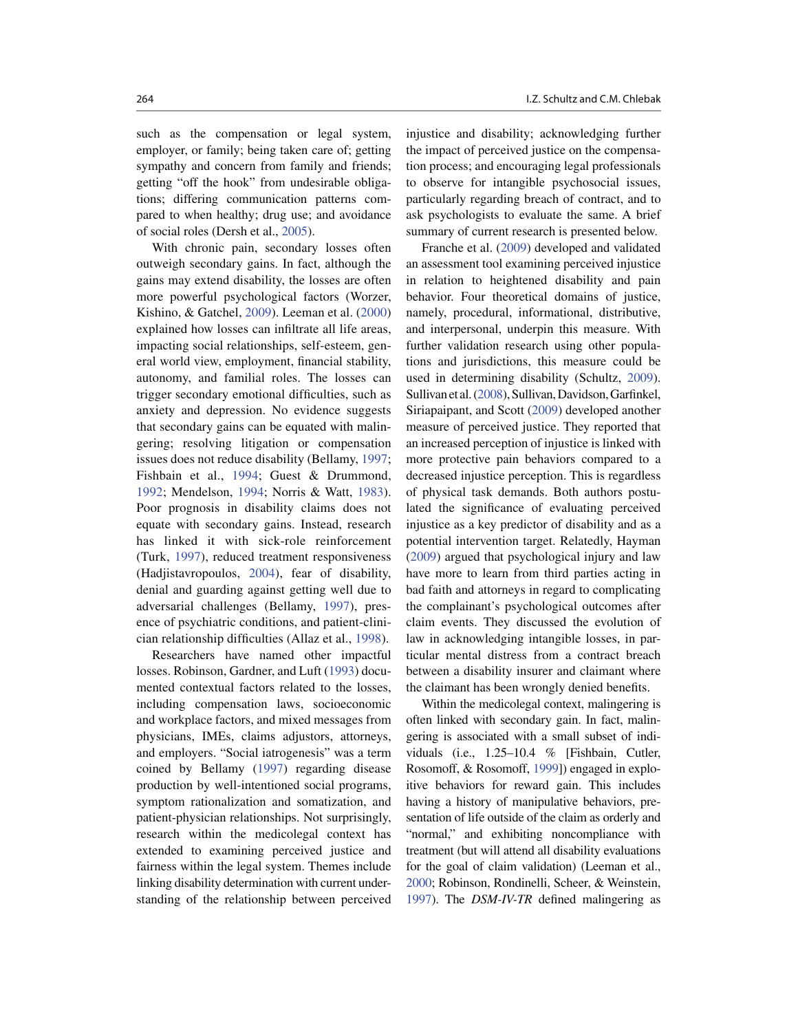such as the compensation or legal system, employer, or family; being taken care of; getting sympathy and concern from family and friends; getting "off the hook" from undesirable obligations; differing communication patterns compared to when healthy; drug use; and avoidance of social roles (Dersh et al., 2005).

 With chronic pain, secondary losses often outweigh secondary gains. In fact, although the gains may extend disability, the losses are often more powerful psychological factors (Worzer, Kishino, & Gatchel, 2009). Leeman et al. (2000) explained how losses can infiltrate all life areas, impacting social relationships, self-esteem, general world view, employment, financial stability, autonomy, and familial roles. The losses can trigger secondary emotional difficulties, such as anxiety and depression. No evidence suggests that secondary gains can be equated with malingering; resolving litigation or compensation issues does not reduce disability (Bellamy, 1997; Fishbain et al., 1994; Guest & Drummond, 1992; Mendelson, 1994; Norris & Watt, 1983). Poor prognosis in disability claims does not equate with secondary gains. Instead, research has linked it with sick-role reinforcement (Turk, 1997), reduced treatment responsiveness (Hadjistavropoulos, 2004), fear of disability, denial and guarding against getting well due to adversarial challenges (Bellamy, 1997), presence of psychiatric conditions, and patient-clinician relationship difficulties (Allaz et al., 1998).

 Researchers have named other impactful losses. Robinson, Gardner, and Luft (1993) documented contextual factors related to the losses, including compensation laws, socioeconomic and workplace factors, and mixed messages from physicians, IMEs, claims adjustors, attorneys, and employers. "Social iatrogenesis" was a term coined by Bellamy (1997) regarding disease production by well-intentioned social programs, symptom rationalization and somatization, and patient-physician relationships. Not surprisingly, research within the medicolegal context has extended to examining perceived justice and fairness within the legal system. Themes include linking disability determination with current understanding of the relationship between perceived injustice and disability; acknowledging further the impact of perceived justice on the compensation process; and encouraging legal professionals to observe for intangible psychosocial issues, particularly regarding breach of contract, and to ask psychologists to evaluate the same. A brief summary of current research is presented below.

Franche et al. (2009) developed and validated an assessment tool examining perceived injustice in relation to heightened disability and pain behavior. Four theoretical domains of justice, namely, procedural, informational, distributive, and interpersonal, underpin this measure. With further validation research using other populations and jurisdictions, this measure could be used in determining disability (Schultz, 2009). Sullivan et al. (2008), Sullivan, Davidson, Garfinkel, Siriapaipant, and Scott (2009) developed another measure of perceived justice. They reported that an increased perception of injustice is linked with more protective pain behaviors compared to a decreased injustice perception. This is regardless of physical task demands. Both authors postulated the significance of evaluating perceived injustice as a key predictor of disability and as a potential intervention target. Relatedly, Hayman (2009) argued that psychological injury and law have more to learn from third parties acting in bad faith and attorneys in regard to complicating the complainant's psychological outcomes after claim events. They discussed the evolution of law in acknowledging intangible losses, in particular mental distress from a contract breach between a disability insurer and claimant where the claimant has been wrongly denied benefits.

 Within the medicolegal context, malingering is often linked with secondary gain. In fact, malingering is associated with a small subset of individuals (i.e., 1.25–10.4 % [Fishbain, Cutler, Rosomoff, & Rosomoff, 1999]) engaged in exploitive behaviors for reward gain. This includes having a history of manipulative behaviors, presentation of life outside of the claim as orderly and "normal," and exhibiting noncompliance with treatment (but will attend all disability evaluations for the goal of claim validation) (Leeman et al., 2000 ; Robinson, Rondinelli, Scheer, & Weinstein, 1997). The *DSM-IV-TR* defined malingering as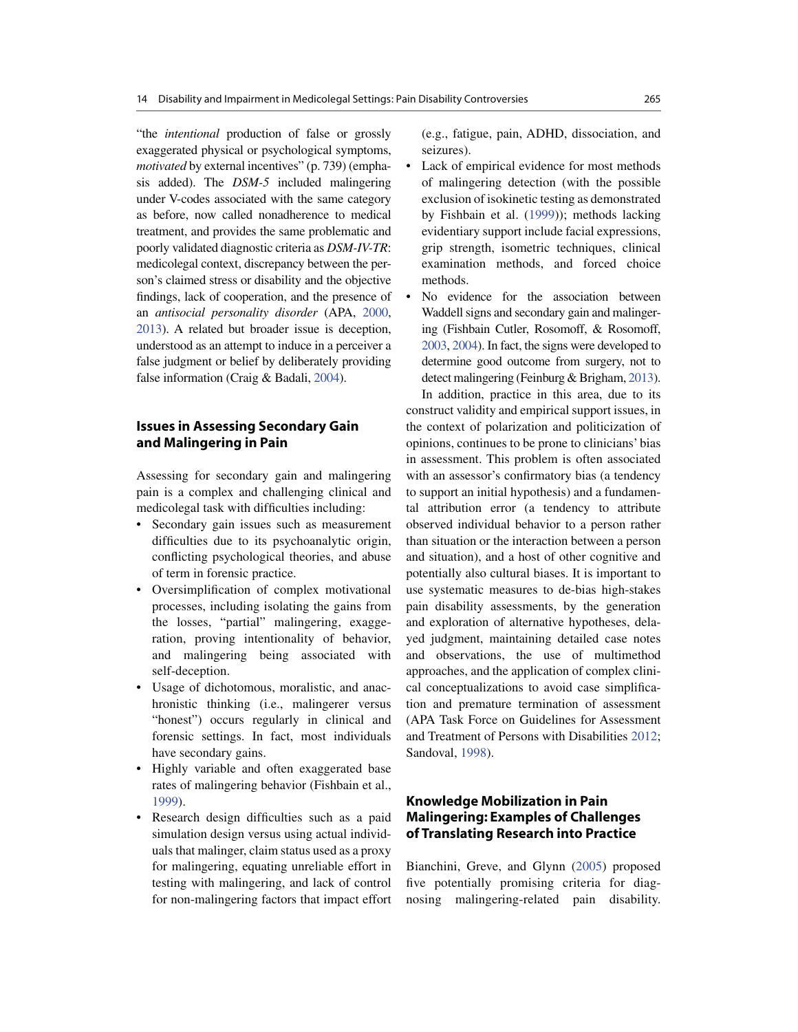"the *intentional* production of false or grossly exaggerated physical or psychological symptoms, *motivated* by external incentives" (p. 739) (emphasis added). The *DSM-5* included malingering under V-codes associated with the same category as before, now called nonadherence to medical treatment, and provides the same problematic and poorly validated diagnostic criteria as *DSM-IV-TR* : medicolegal context, discrepancy between the person's claimed stress or disability and the objective findings, lack of cooperation, and the presence of an *antisocial personality disorder* (APA, 2000, 2013 ). A related but broader issue is deception, understood as an attempt to induce in a perceiver a false judgment or belief by deliberately providing false information (Craig & Badali, 2004).

# **Issues in Assessing Secondary Gain and Malingering in Pain**

 Assessing for secondary gain and malingering pain is a complex and challenging clinical and medicolegal task with difficulties including:

- Secondary gain issues such as measurement difficulties due to its psychoanalytic origin, conflicting psychological theories, and abuse of term in forensic practice.
- Oversimplification of complex motivational processes, including isolating the gains from the losses, "partial" malingering, exaggeration, proving intentionality of behavior, and malingering being associated with self-deception.
- Usage of dichotomous, moralistic, and anachronistic thinking (i.e., malingerer versus "honest") occurs regularly in clinical and forensic settings. In fact, most individuals have secondary gains.
- Highly variable and often exaggerated base rates of malingering behavior (Fishbain et al., 1999).
- Research design difficulties such as a paid simulation design versus using actual individuals that malinger, claim status used as a proxy for malingering, equating unreliable effort in testing with malingering, and lack of control for non-malingering factors that impact effort

(e.g., fatigue, pain, ADHD, dissociation, and seizures).

- Lack of empirical evidence for most methods of malingering detection (with the possible exclusion of isokinetic testing as demonstrated by Fishbain et al. (1999)); methods lacking evidentiary support include facial expressions, grip strength, isometric techniques, clinical examination methods, and forced choice methods.
- No evidence for the association between Waddell signs and secondary gain and malingering (Fishbain Cutler, Rosomoff, & Rosomoff, 2003 , 2004 ). In fact, the signs were developed to determine good outcome from surgery, not to detect malingering (Feinburg & Brigham, 2013).

 In addition, practice in this area, due to its construct validity and empirical support issues, in the context of polarization and politicization of opinions, continues to be prone to clinicians' bias in assessment. This problem is often associated with an assessor's confirmatory bias (a tendency to support an initial hypothesis) and a fundamental attribution error (a tendency to attribute observed individual behavior to a person rather than situation or the interaction between a person and situation), and a host of other cognitive and potentially also cultural biases. It is important to use systematic measures to de-bias high-stakes pain disability assessments, by the generation and exploration of alternative hypotheses, delayed judgment, maintaining detailed case notes and observations, the use of multimethod approaches, and the application of complex clinical conceptualizations to avoid case simplification and premature termination of assessment (APA Task Force on Guidelines for Assessment and Treatment of Persons with Disabilities 2012; Sandoval, 1998).

# **Knowledge Mobilization in Pain Malingering: Examples of Challenges of Translating Research into Practice**

Bianchini, Greve, and Glynn (2005) proposed five potentially promising criteria for diagnosing malingering-related pain disability.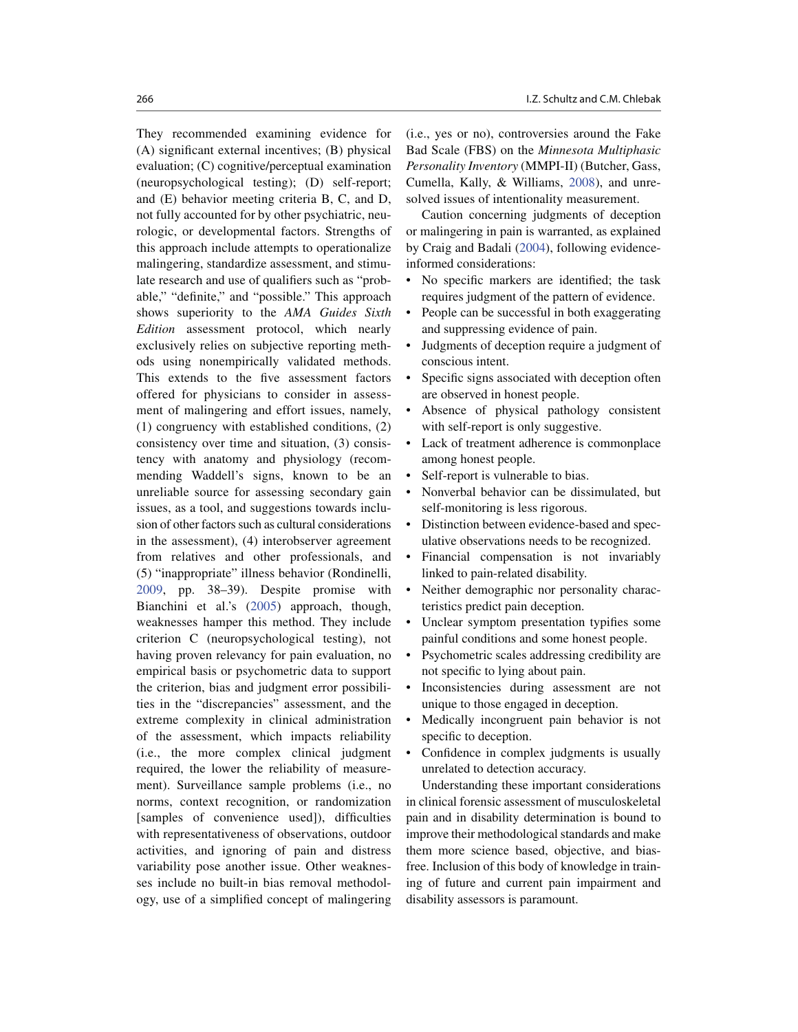They recommended examining evidence for  $(A)$  significant external incentives;  $(B)$  physical evaluation; (C) cognitive/perceptual examination (neuropsychological testing); (D) self-report; and (E) behavior meeting criteria B, C, and D, not fully accounted for by other psychiatric, neurologic, or developmental factors. Strengths of this approach include attempts to operationalize malingering, standardize assessment, and stimulate research and use of qualifiers such as "probable," "definite," and "possible." This approach shows superiority to the *AMA Guides Sixth Edition* assessment protocol, which nearly exclusively relies on subjective reporting methods using nonempirically validated methods. This extends to the five assessment factors offered for physicians to consider in assessment of malingering and effort issues, namely, (1) congruency with established conditions, (2) consistency over time and situation, (3) consistency with anatomy and physiology (recommending Waddell's signs, known to be an unreliable source for assessing secondary gain issues, as a tool, and suggestions towards inclusion of other factors such as cultural considerations in the assessment), (4) interobserver agreement from relatives and other professionals, and (5) "inappropriate" illness behavior (Rondinelli, 2009 , pp. 38–39). Despite promise with Bianchini et al.'s (2005) approach, though, weaknesses hamper this method. They include criterion C (neuropsychological testing), not having proven relevancy for pain evaluation, no empirical basis or psychometric data to support the criterion, bias and judgment error possibilities in the "discrepancies" assessment, and the extreme complexity in clinical administration of the assessment, which impacts reliability (i.e., the more complex clinical judgment required, the lower the reliability of measurement). Surveillance sample problems (i.e., no norms, context recognition, or randomization [samples of convenience used]), difficulties with representativeness of observations, outdoor activities, and ignoring of pain and distress variability pose another issue. Other weaknesses include no built-in bias removal methodology, use of a simplified concept of malingering

(i.e., yes or no), controversies around the Fake Bad Scale (FBS) on the *Minnesota Multiphasic Personality Inventory* (MMPI-II) (Butcher, Gass, Cumella, Kally, & Williams, 2008), and unresolved issues of intentionality measurement.

 Caution concerning judgments of deception or malingering in pain is warranted, as explained by Craig and Badali (2004), following evidenceinformed considerations:

- No specific markers are identified; the task requires judgment of the pattern of evidence.
- People can be successful in both exaggerating and suppressing evidence of pain.
- Judgments of deception require a judgment of conscious intent.
- Specific signs associated with deception often are observed in honest people.
- Absence of physical pathology consistent with self-report is only suggestive.
- Lack of treatment adherence is commonplace among honest people.
- Self-report is vulnerable to bias.
- Nonverbal behavior can be dissimulated, but self-monitoring is less rigorous.
- Distinction between evidence-based and speculative observations needs to be recognized.
- Financial compensation is not invariably linked to pain-related disability.
- Neither demographic nor personality characteristics predict pain deception.
- Unclear symptom presentation typifies some painful conditions and some honest people.
- Psychometric scales addressing credibility are not specific to lying about pain.
- Inconsistencies during assessment are not unique to those engaged in deception.
- Medically incongruent pain behavior is not specific to deception.
- Confidence in complex judgments is usually unrelated to detection accuracy.

 Understanding these important considerations in clinical forensic assessment of musculoskeletal pain and in disability determination is bound to improve their methodological standards and make them more science based, objective, and biasfree. Inclusion of this body of knowledge in training of future and current pain impairment and disability assessors is paramount.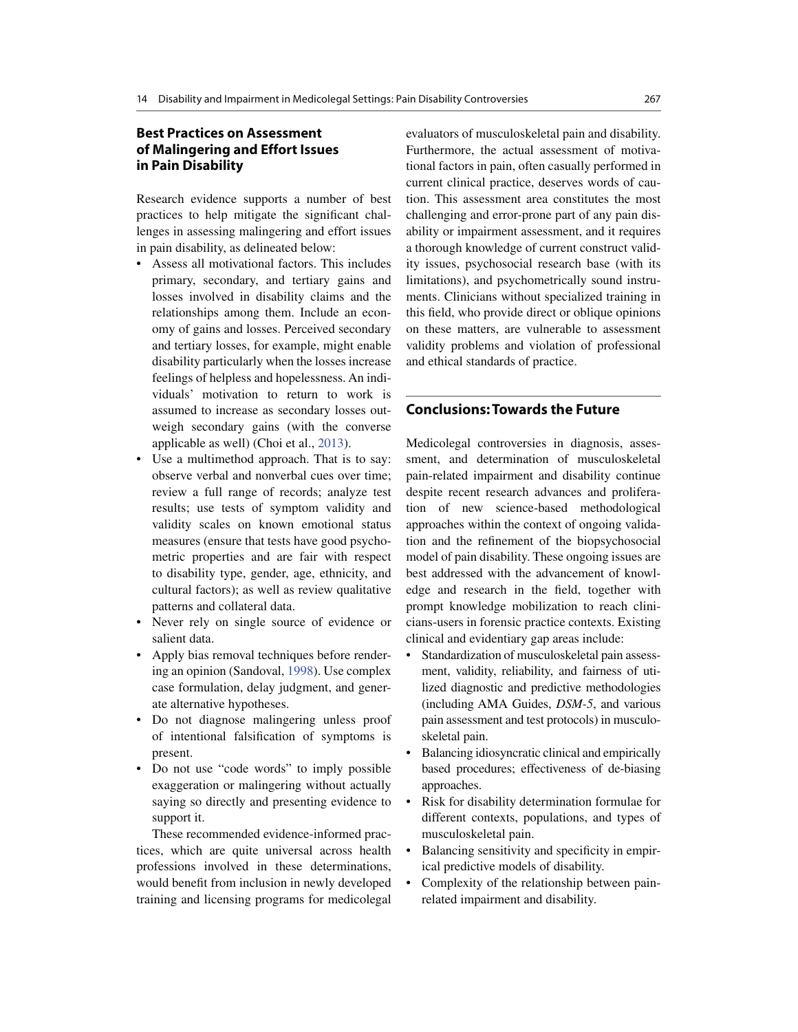# **Best Practices on Assessment of Malingering and Effort Issues in Pain Disability**

 Research evidence supports a number of best practices to help mitigate the significant challenges in assessing malingering and effort issues in pain disability, as delineated below:

- Assess all motivational factors. This includes primary, secondary, and tertiary gains and losses involved in disability claims and the relationships among them. Include an economy of gains and losses. Perceived secondary and tertiary losses, for example, might enable disability particularly when the losses increase feelings of helpless and hopelessness. An individuals' motivation to return to work is assumed to increase as secondary losses outweigh secondary gains (with the converse applicable as well) (Choi et al., 2013).
- Use a multimethod approach. That is to say: observe verbal and nonverbal cues over time; review a full range of records; analyze test results; use tests of symptom validity and validity scales on known emotional status measures (ensure that tests have good psychometric properties and are fair with respect to disability type, gender, age, ethnicity, and cultural factors); as well as review qualitative patterns and collateral data.
- Never rely on single source of evidence or salient data.
- Apply bias removal techniques before rendering an opinion (Sandoval, 1998). Use complex case formulation, delay judgment, and generate alternative hypotheses.
- Do not diagnose malingering unless proof of intentional falsification of symptoms is present.
- Do not use "code words" to imply possible exaggeration or malingering without actually saying so directly and presenting evidence to support it.

 These recommended evidence-informed practices, which are quite universal across health professions involved in these determinations, would benefit from inclusion in newly developed training and licensing programs for medicolegal

evaluators of musculoskeletal pain and disability. Furthermore, the actual assessment of motivational factors in pain, often casually performed in current clinical practice, deserves words of caution. This assessment area constitutes the most challenging and error-prone part of any pain disability or impairment assessment, and it requires a thorough knowledge of current construct validity issues, psychosocial research base (with its limitations), and psychometrically sound instruments. Clinicians without specialized training in this field, who provide direct or oblique opinions on these matters, are vulnerable to assessment validity problems and violation of professional and ethical standards of practice.

### **Conclusions: Towards the Future**

 Medicolegal controversies in diagnosis, assessment, and determination of musculoskeletal pain-related impairment and disability continue despite recent research advances and proliferation of new science-based methodological approaches within the context of ongoing validation and the refinement of the biopsychosocial model of pain disability. These ongoing issues are best addressed with the advancement of knowledge and research in the field, together with prompt knowledge mobilization to reach clinicians-users in forensic practice contexts. Existing clinical and evidentiary gap areas include:

- Standardization of musculoskeletal pain assessment, validity, reliability, and fairness of utilized diagnostic and predictive methodologies (including AMA Guides, *DSM-5*, and various pain assessment and test protocols) in musculoskeletal pain.
- Balancing idiosyncratic clinical and empirically based procedures; effectiveness of de-biasing approaches.
- Risk for disability determination formulae for different contexts, populations, and types of musculoskeletal pain.
- Balancing sensitivity and specificity in empirical predictive models of disability.
- Complexity of the relationship between painrelated impairment and disability.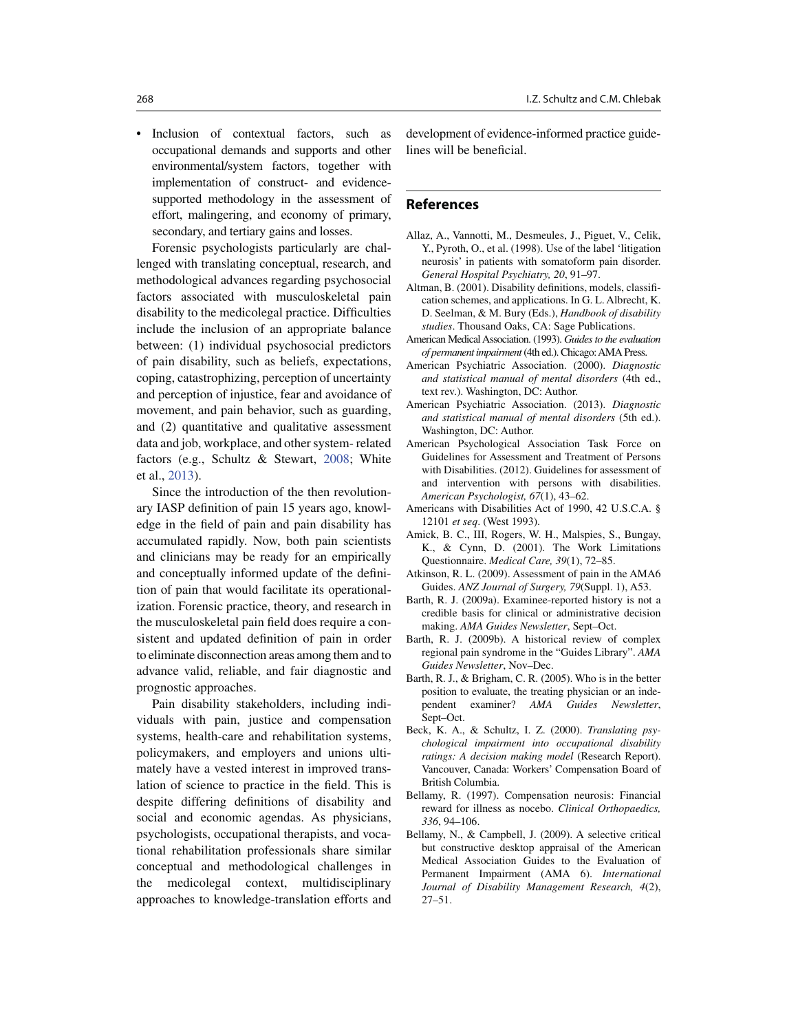• Inclusion of contextual factors, such as occupational demands and supports and other environmental/system factors, together with implementation of construct- and evidencesupported methodology in the assessment of effort, malingering, and economy of primary, secondary, and tertiary gains and losses.

 Forensic psychologists particularly are challenged with translating conceptual, research, and methodological advances regarding psychosocial factors associated with musculoskeletal pain disability to the medicolegal practice. Difficulties include the inclusion of an appropriate balance between: (1) individual psychosocial predictors of pain disability, such as beliefs, expectations, coping, catastrophizing, perception of uncertainty and perception of injustice, fear and avoidance of movement, and pain behavior, such as guarding, and (2) quantitative and qualitative assessment data and job, workplace, and other system- related factors (e.g., Schultz & Stewart, 2008; White et al., 2013).

 Since the introduction of the then revolutionary IASP definition of pain 15 years ago, knowledge in the field of pain and pain disability has accumulated rapidly. Now, both pain scientists and clinicians may be ready for an empirically and conceptually informed update of the definition of pain that would facilitate its operationalization. Forensic practice, theory, and research in the musculoskeletal pain field does require a consistent and updated definition of pain in order to eliminate disconnection areas among them and to advance valid, reliable, and fair diagnostic and prognostic approaches.

 Pain disability stakeholders, including individuals with pain, justice and compensation systems, health-care and rehabilitation systems, policymakers, and employers and unions ultimately have a vested interest in improved translation of science to practice in the field. This is despite differing definitions of disability and social and economic agendas. As physicians, psychologists, occupational therapists, and vocational rehabilitation professionals share similar conceptual and methodological challenges in the medicolegal context, multidisciplinary approaches to knowledge-translation efforts and development of evidence-informed practice guidelines will be beneficial.

#### **References**

- Allaz, A., Vannotti, M., Desmeules, J., Piguet, V., Celik, Y., Pyroth, O., et al. (1998). Use of the label 'litigation neurosis' in patients with somatoform pain disorder. *General Hospital Psychiatry, 20, 91-97.*
- Altman, B. (2001). Disability definitions, models, classification schemes, and applications. In G. L. Albrecht, K. D. Seelman, & M. Bury (Eds.), *Handbook of disability studies* . Thousand Oaks, CA: Sage Publications.
- American Medical Association. (1993). *Guides to the evaluation of permanent impairment* (4th ed.). Chicago: AMA Press.
- American Psychiatric Association. (2000). *Diagnostic and statistical manual of mental disorders* (4th ed., text rev.). Washington, DC: Author.
- American Psychiatric Association. (2013). *Diagnostic and statistical manual of mental disorders* (5th ed.). Washington, DC: Author.
- American Psychological Association Task Force on Guidelines for Assessment and Treatment of Persons with Disabilities. (2012). Guidelines for assessment of and intervention with persons with disabilities. *American Psychologist, 67* (1), 43–62.
- Americans with Disabilities Act of 1990, 42 U.S.C.A. § 12101 *et seq* . (West 1993).
- Amick, B. C., III, Rogers, W. H., Malspies, S., Bungay, K., & Cynn, D. (2001). The Work Limitations Questionnaire. *Medical Care*, 39(1), 72-85.
- Atkinson, R. L. (2009). Assessment of pain in the AMA6 Guides. *ANZ Journal of Surgery, 79* (Suppl. 1), A53.
- Barth, R. J. (2009a). Examinee-reported history is not a credible basis for clinical or administrative decision making. AMA Guides Newsletter, Sept-Oct.
- Barth, R. J. (2009b). A historical review of complex regional pain syndrome in the "Guides Library". *AMA*  Guides Newsletter, Nov-Dec.
- Barth, R. J., & Brigham, C. R. (2005). Who is in the better position to evaluate, the treating physician or an independent examiner? AMA Guides Newsletter, Sept–Oct.
- Beck, K. A., & Schultz, I. Z. (2000). *Translating psychological impairment into occupational disability ratings: A decision making model* (Research Report). Vancouver, Canada: Workers' Compensation Board of British Columbia.
- Bellamy, R. (1997). Compensation neurosis: Financial reward for illness as nocebo. *Clinical Orthopaedics, 336* , 94–106.
- Bellamy, N., & Campbell, J. (2009). A selective critical but constructive desktop appraisal of the American Medical Association Guides to the Evaluation of Permanent Impairment (AMA 6). *International*  Journal of Disability Management Research, 4(2), 27–51.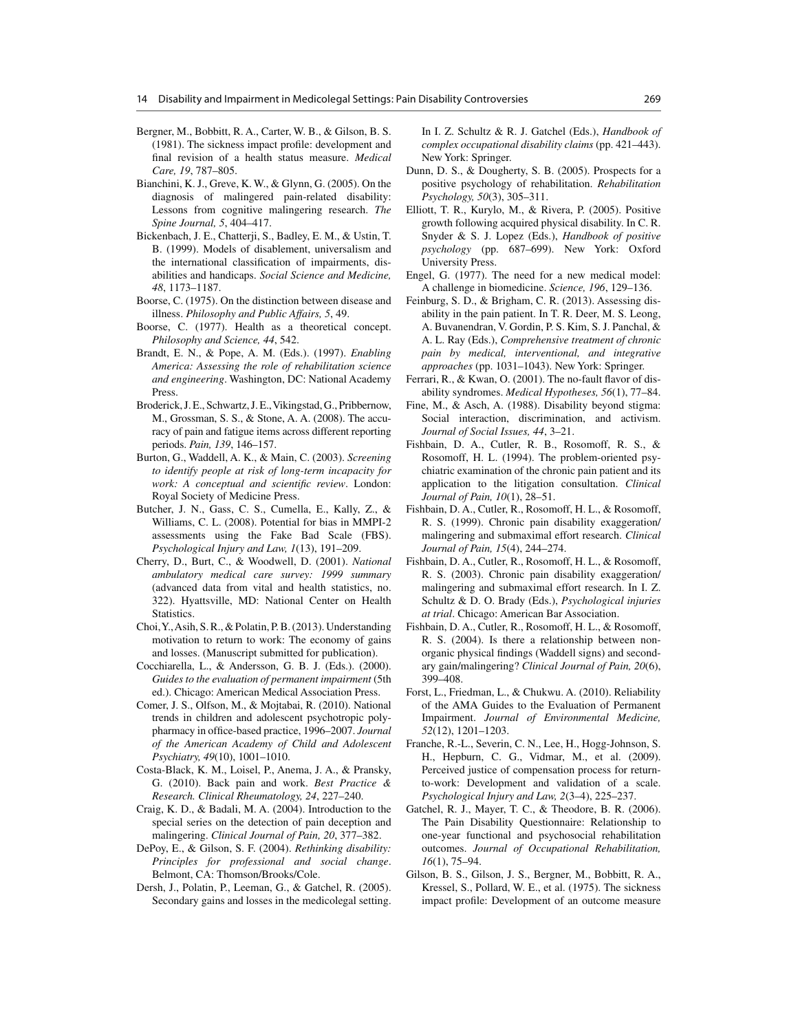- Bergner, M., Bobbitt, R. A., Carter, W. B., & Gilson, B. S. (1981). The sickness impact profile: development and final revision of a health status measure. *Medical Care, 19* , 787–805.
- Bianchini, K. J., Greve, K. W., & Glynn, G. (2005). On the diagnosis of malingered pain-related disability: Lessons from cognitive malingering research. *The Spine Journal, 5* , 404–417.
- Bickenbach, J. E., Chatterji, S., Badley, E. M., & Ustin, T. B. (1999). Models of disablement, universalism and the international classification of impairments, disabilities and handicaps. *Social Science and Medicine, 48* , 1173–1187.
- Boorse, C. (1975). On the distinction between disease and illness. *Philosophy and Public Affairs, 5* , 49.
- Boorse, C. (1977). Health as a theoretical concept. *Philosophy and Science, 44* , 542.
- Brandt, E. N., & Pope, A. M. (Eds.). (1997). *Enabling America: Assessing the role of rehabilitation science and engineering* . Washington, DC: National Academy Press.
- Broderick, J. E., Schwartz, J. E., Vikingstad, G., Pribbernow, M., Grossman, S. S., & Stone, A. A. (2008). The accuracy of pain and fatigue items across different reporting periods. *Pain, 139* , 146–157.
- Burton, G., Waddell, A. K., & Main, C. (2003). *Screening to identify people at risk of long-term incapacity for work: A conceptual and scientific review. London:* Royal Society of Medicine Press.
- Butcher, J. N., Gass, C. S., Cumella, E., Kally, Z., & Williams, C. L. (2008). Potential for bias in MMPI-2 assessments using the Fake Bad Scale (FBS). *Psychological Injury and Law, 1* (13), 191–209.
- Cherry, D., Burt, C., & Woodwell, D. (2001). *National ambulatory medical care survey: 1999 summary* (advanced data from vital and health statistics, no. 322). Hyattsville, MD: National Center on Health Statistics.
- Choi, Y., Asih, S. R., & Polatin, P. B. (2013). Understanding motivation to return to work: The economy of gains and losses. (Manuscript submitted for publication).
- Cocchiarella, L., & Andersson, G. B. J. (Eds.). (2000). *Guides to the evaluation of permanent impairment* (5th ed.). Chicago: American Medical Association Press.
- Comer, J. S., Olfson, M., & Mojtabai, R. (2010). National trends in children and adolescent psychotropic polypharmacy in office-based practice, 1996–2007. Journal *of the American Academy of Child and Adolescent Psychiatry, 49* (10), 1001–1010.
- Costa-Black, K. M., Loisel, P., Anema, J. A., & Pransky, G. (2010). Back pain and work. *Best Practice & Research. Clinical Rheumatology, 24* , 227–240.
- Craig, K. D., & Badali, M. A. (2004). Introduction to the special series on the detection of pain deception and malingering. *Clinical Journal of Pain*, 20, 377-382.
- DePoy, E., & Gilson, S. F. (2004). *Rethinking disability: Principles for professional and social change* . Belmont, CA: Thomson/Brooks/Cole.
- Dersh, J., Polatin, P., Leeman, G., & Gatchel, R. (2005). Secondary gains and losses in the medicolegal setting.

In I. Z. Schultz & R. J. Gatchel (Eds.), *Handbook of complex occupational disability claims* (pp. 421–443). New York: Springer.

- Dunn, D. S., & Dougherty, S. B. (2005). Prospects for a positive psychology of rehabilitation. *Rehabilitation Psychology, 50* (3), 305–311.
- Elliott, T. R., Kurylo, M., & Rivera, P. (2005). Positive growth following acquired physical disability. In C. R. Snyder & S. J. Lopez (Eds.), *Handbook of positive psychology* (pp. 687–699). New York: Oxford University Press.
- Engel, G. (1977). The need for a new medical model: A challenge in biomedicine. *Science, 196* , 129–136.
- Feinburg, S. D., & Brigham, C. R. (2013). Assessing disability in the pain patient. In T. R. Deer, M. S. Leong, A. Buvanendran, V. Gordin, P. S. Kim, S. J. Panchal, & A. L. Ray (Eds.), *Comprehensive treatment of chronic pain by medical, interventional, and integrative approaches* (pp. 1031–1043). New York: Springer.
- Ferrari, R., & Kwan, O. (2001). The no-fault flavor of disability syndromes. *Medical Hypotheses, 56* (1), 77–84.
- Fine, M., & Asch, A. (1988). Disability beyond stigma: Social interaction, discrimination, and activism. *Journal of Social Issues, 44* , 3–21.
- Fishbain, D. A., Cutler, R. B., Rosomoff, R. S., & Rosomoff, H. L. (1994). The problem-oriented psychiatric examination of the chronic pain patient and its application to the litigation consultation. *Clinical Journal of Pain, 10(1), 28-51.*
- Fishbain, D. A., Cutler, R., Rosomoff, H. L., & Rosomoff, R. S. (1999). Chronic pain disability exaggeration/ malingering and submaximal effort research. *Clinical Journal of Pain, 15* (4), 244–274.
- Fishbain, D. A., Cutler, R., Rosomoff, H. L., & Rosomoff, R. S. (2003). Chronic pain disability exaggeration/ malingering and submaximal effort research. In I. Z. Schultz & D. O. Brady (Eds.), *Psychological injuries at trial* . Chicago: American Bar Association.
- Fishbain, D. A., Cutler, R., Rosomoff, H. L., & Rosomoff, R. S. (2004). Is there a relationship between nonorganic physical findings (Waddell signs) and secondary gain/malingering? *Clinical Journal of Pain*, 20(6), 399–408.
- Forst, L., Friedman, L., & Chukwu. A. (2010). Reliability of the AMA Guides to the Evaluation of Permanent Impairment. *Journal of Environmental Medicine, 52*(12), 1201–1203.
- Franche, R.-L., Severin, C. N., Lee, H., Hogg-Johnson, S. H., Hepburn, C. G., Vidmar, M., et al. (2009). Perceived justice of compensation process for returnto- work: Development and validation of a scale. Psychological Injury and Law, 2(3-4), 225-237.
- Gatchel, R. J., Mayer, T. C., & Theodore, B. R. (2006). The Pain Disability Questionnaire: Relationship to one-year functional and psychosocial rehabilitation outcomes. *Journal of Occupational Rehabilitation, 16*(1), 75–94.
- Gilson, B. S., Gilson, J. S., Bergner, M., Bobbitt, R. A., Kressel, S., Pollard, W. E., et al. (1975). The sickness impact profile: Development of an outcome measure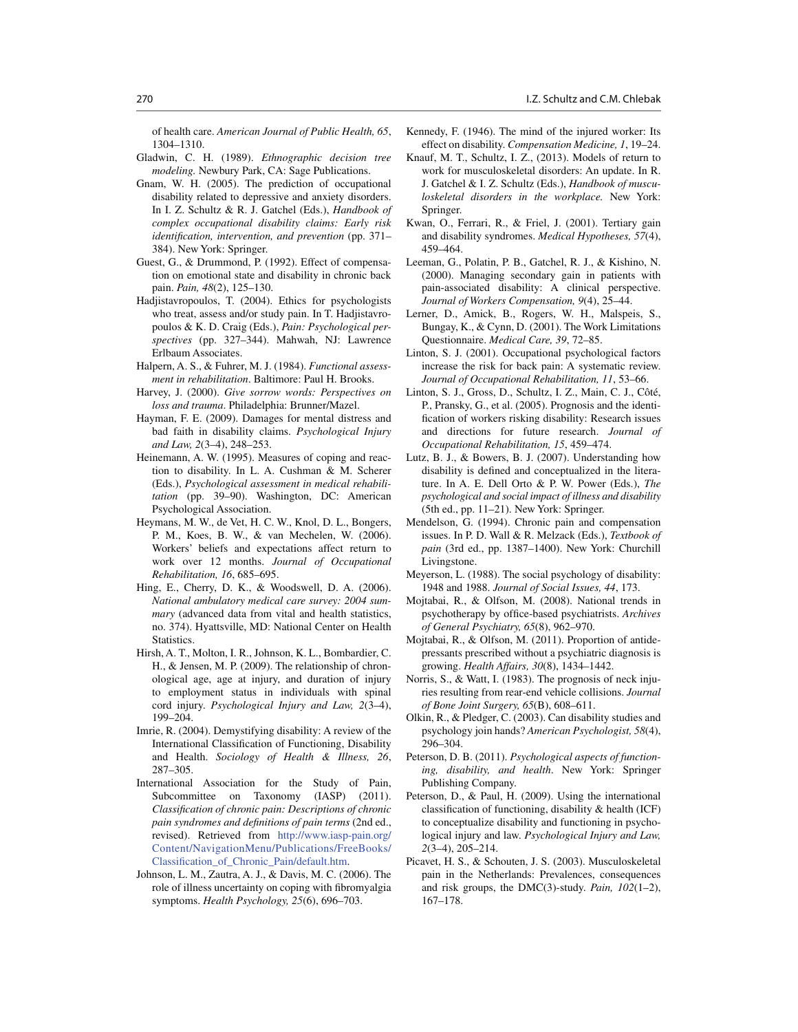of health care. *American Journal of Public Health, 65* , 1304–1310.

- Gladwin, C. H. (1989). *Ethnographic decision tree modeling .* Newbury Park, CA: Sage Publications.
- Gnam, W. H. (2005). The prediction of occupational disability related to depressive and anxiety disorders. In I. Z. Schultz & R. J. Gatchel (Eds.), *Handbook of complex occupational disability claims: Early risk identification, intervention, and prevention* (pp. 371– 384). New York: Springer.
- Guest, G., & Drummond, P. (1992). Effect of compensation on emotional state and disability in chronic back pain. *Pain, 48* (2), 125–130.
- Hadjistavropoulos, T. (2004). Ethics for psychologists who treat, assess and/or study pain. In T. Hadjistavropoulos & K. D. Craig (Eds.), *Pain: Psychological perspectives* (pp. 327–344). Mahwah, NJ: Lawrence Erlbaum Associates.
- Halpern, A. S., & Fuhrer, M. J. (1984). *Functional assessment in rehabilitation* . Baltimore: Paul H. Brooks.
- Harvey, J. (2000). *Give sorrow words: Perspectives on loss and trauma* . Philadelphia: Brunner/Mazel.
- Hayman, F. E. (2009). Damages for mental distress and bad faith in disability claims. *Psychological Injury and Law, 2* (3–4), 248–253.
- Heinemann, A. W. (1995). Measures of coping and reaction to disability. In L. A. Cushman & M. Scherer (Eds.), *Psychological assessment in medical rehabilitation* (pp. 39–90). Washington, DC: American Psychological Association.
- Heymans, M. W., de Vet, H. C. W., Knol, D. L., Bongers, P. M., Koes, B. W., & van Mechelen, W. (2006). Workers' beliefs and expectations affect return to work over 12 months. *Journal of Occupational Rehabilitation, 16* , 685–695.
- Hing, E., Cherry, D. K., & Woodswell, D. A. (2006). *National ambulatory medical care survey: 2004 summary* (advanced data from vital and health statistics, no. 374). Hyattsville, MD: National Center on Health Statistics.
- Hirsh, A. T., Molton, I. R., Johnson, K. L., Bombardier, C. H., & Jensen, M. P. (2009). The relationship of chronological age, age at injury, and duration of injury to employment status in individuals with spinal cord injury. *Psychological Injury and Law, 2(3-4)*, 199–204.
- Imrie, R. (2004). Demystifying disability: A review of the International Classification of Functioning, Disability and Health. *Sociology of Health & Illness, 26* , 287–305.
- International Association for the Study of Pain, Subcommittee on Taxonomy (IASP) (2011). *Classifi cation of chronic pain: Descriptions of chronic*  pain syndromes and definitions of pain terms (2nd ed., revised). Retrieved from http://www.iasp-pain.org/ Content/NavigationMenu/Publications/FreeBooks/ Classification\_of\_Chronic\_Pain/default.htm.
- Johnson, L. M., Zautra, A. J., & Davis, M. C. (2006). The role of illness uncertainty on coping with fibromyalgia symptoms. *Health Psychology, 25* (6), 696–703.
- Kennedy, F. (1946). The mind of the injured worker: Its effect on disability. *Compensation Medicine*, 1, 19-24.
- Knauf, M. T., Schultz, I. Z., (2013). Models of return to work for musculoskeletal disorders: An update. In R. J. Gatchel & I. Z. Schultz (Eds.), *Handbook of musculoskeletal disorders in the workplace.* New York: Springer.
- Kwan, O., Ferrari, R., & Friel, J. (2001). Tertiary gain and disability syndromes. *Medical Hypotheses, 57* (4), 459–464.
- Leeman, G., Polatin, P. B., Gatchel, R. J., & Kishino, N. (2000). Managing secondary gain in patients with pain-associated disability: A clinical perspective. *Journal of Workers Compensation, 9* (4), 25–44.
- Lerner, D., Amick, B., Rogers, W. H., Malspeis, S., Bungay, K., & Cynn, D. (2001). The Work Limitations Questionnaire. *Medical Care, 39* , 72–85.
- Linton, S. J. (2001). Occupational psychological factors increase the risk for back pain: A systematic review. *Journal of Occupational Rehabilitation, 11* , 53–66.
- Linton, S. J., Gross, D., Schultz, I. Z., Main, C. J., Côté, P., Pransky, G., et al. (2005). Prognosis and the identification of workers risking disability: Research issues and directions for future research. *Journal of Occupational Rehabilitation, 15* , 459–474.
- Lutz, B. J., & Bowers, B. J. (2007). Understanding how disability is defined and conceptualized in the literature. In A. E. Dell Orto & P. W. Power (Eds.), *The psychological and social impact of illness and disability* (5th ed., pp. 11–21). New York: Springer.
- Mendelson, G. (1994). Chronic pain and compensation issues. In P. D. Wall & R. Melzack (Eds.), *Textbook of pain* (3rd ed., pp. 1387–1400). New York: Churchill Livingstone.
- Meyerson, L. (1988). The social psychology of disability: 1948 and 1988. *Journal of Social Issues, 44* , 173.
- Mojtabai, R., & Olfson, M. (2008). National trends in psychotherapy by office-based psychiatrists. Archives *of General Psychiatry, 65* (8), 962–970.
- Mojtabai, R., & Olfson, M. (2011). Proportion of antidepressants prescribed without a psychiatric diagnosis is growing. *Health Affairs, 30* (8), 1434–1442.
- Norris, S., & Watt, I. (1983). The prognosis of neck injuries resulting from rear-end vehicle collisions. *Journal of Bone Joint Surgery, 65* (B), 608–611.
- Olkin, R., & Pledger, C. (2003). Can disability studies and psychology join hands? *American Psychologist, 58* (4), 296–304.
- Peterson, D. B. (2011). *Psychological aspects of function*ing, disability, and health. New York: Springer Publishing Company.
- Peterson, D., & Paul, H. (2009). Using the international classification of functioning, disability  $&$  health (ICF) to conceptualize disability and functioning in psychological injury and law. *Psychological Injury and Law, 2* (3–4), 205–214.
- Picavet, H. S., & Schouten, J. S. (2003). Musculoskeletal pain in the Netherlands: Prevalences, consequences and risk groups, the DMC(3)-study. *Pain, 102* $(1-2)$ , 167–178.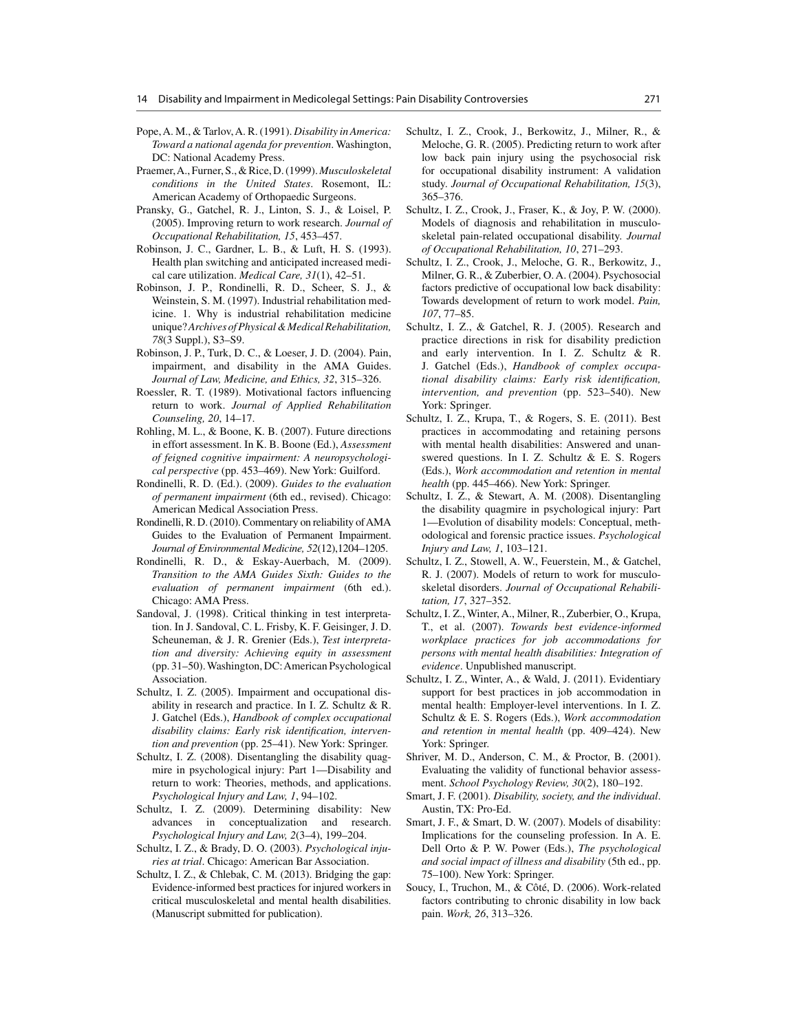- Pope, A. M., & Tarlov, A. R. (1991). *Disability in America: Toward a national agenda for prevention* . Washington, DC: National Academy Press.
- Praemer, A., Furner, S., & Rice, D. (1999). *Musculoskeletal conditions in the United States* . Rosemont, IL: American Academy of Orthopaedic Surgeons.
- Pransky, G., Gatchel, R. J., Linton, S. J., & Loisel, P. (2005). Improving return to work research. *Journal of Occupational Rehabilitation, 15* , 453–457.
- Robinson, J. C., Gardner, L. B., & Luft, H. S. (1993). Health plan switching and anticipated increased medical care utilization. *Medical Care, 31* (1), 42–51.
- Robinson, J. P., Rondinelli, R. D., Scheer, S. J., & Weinstein, S. M. (1997). Industrial rehabilitation medicine. 1. Why is industrial rehabilitation medicine unique? *Archives of Physical & Medical Rehabilitation, 78* (3 Suppl.), S3–S9.
- Robinson, J. P., Turk, D. C., & Loeser, J. D. (2004). Pain, impairment, and disability in the AMA Guides. *Journal of Law, Medicine, and Ethics, 32* , 315–326.
- Roessler, R. T. (1989). Motivational factors influencing return to work. *Journal of Applied Rehabilitation Counseling, 20* , 14–17.
- Rohling, M. L., & Boone, K. B. (2007). Future directions in effort assessment. In K. B. Boone (Ed.), *Assessment of feigned cognitive impairment: A neuropsychological perspective* (pp. 453–469). New York: Guilford.
- Rondinelli, R. D. (Ed.). (2009). *Guides to the evaluation of permanent impairment* (6th ed., revised). Chicago: American Medical Association Press.
- Rondinelli, R. D. (2010). Commentary on reliability of AMA Guides to the Evaluation of Permanent Impairment. *Journal of Environmental Medicine, 52* (12),1204–1205.
- Rondinelli, R. D., & Eskay-Auerbach, M. (2009). *Transition to the AMA Guides Sixth: Guides to the evaluation of permanent impairment* (6th ed.). Chicago: AMA Press.
- Sandoval, J. (1998). Critical thinking in test interpretation. In J. Sandoval, C. L. Frisby, K. F. Geisinger, J. D. Scheuneman, & J. R. Grenier (Eds.), *Test interpretation and diversity: Achieving equity in assessment* (pp. 31–50). Washington, DC: American Psychological Association.
- Schultz, I. Z. (2005). Impairment and occupational disability in research and practice. In I. Z. Schultz & R. J. Gatchel (Eds.), *Handbook of complex occupational*  disability claims: Early risk identification, interven*tion and prevention* (pp. 25–41). New York: Springer.
- Schultz, I. Z. (2008). Disentangling the disability quagmire in psychological injury: Part 1—Disability and return to work: Theories, methods, and applications. Psychological Injury and Law, 1, 94-102.
- Schultz, I. Z. (2009). Determining disability: New advances in conceptualization and research. *Psychological Injury and Law, 2(3-4), 199-204.*
- Schultz, I. Z., & Brady, D. O. (2003). *Psychological injuries at trial* . Chicago: American Bar Association.
- Schultz, I. Z., & Chlebak, C. M. (2013). Bridging the gap: Evidence-informed best practices for injured workers in critical musculoskeletal and mental health disabilities. (Manuscript submitted for publication).
- Schultz, I. Z., Crook, J., Berkowitz, J., Milner, R., & Meloche, G. R. (2005). Predicting return to work after low back pain injury using the psychosocial risk for occupational disability instrument: A validation study. Journal of Occupational Rehabilitation, 15(3), 365–376.
- Schultz, I. Z., Crook, J., Fraser, K., & Joy, P. W. (2000). Models of diagnosis and rehabilitation in musculoskeletal pain-related occupational disability. *Journal of Occupational Rehabilitation, 10* , 271–293.
- Schultz, I. Z., Crook, J., Meloche, G. R., Berkowitz, J., Milner, G. R., & Zuberbier, O. A. (2004). Psychosocial factors predictive of occupational low back disability: Towards development of return to work model. *Pain, 107* , 77–85.
- Schultz, I. Z., & Gatchel, R. J. (2005). Research and practice directions in risk for disability prediction and early intervention. In I. Z. Schultz & R. J. Gatchel (Eds.), *Handbook of complex occupational disability claims: Early risk identification, intervention, and prevention* (pp. 523–540). New York: Springer.
- Schultz, I. Z., Krupa, T., & Rogers, S. E. (2011). Best practices in accommodating and retaining persons with mental health disabilities: Answered and unanswered questions. In I. Z. Schultz & E. S. Rogers (Eds.), *Work accommodation and retention in mental health* (pp. 445–466). New York: Springer.
- Schultz, I. Z., & Stewart, A. M. (2008). Disentangling the disability quagmire in psychological injury: Part 1—Evolution of disability models: Conceptual, methodological and forensic practice issues. *Psychological Injury and Law, 1,* 103–121.
- Schultz, I. Z., Stowell, A. W., Feuerstein, M., & Gatchel, R. J. (2007). Models of return to work for musculoskeletal disorders. *Journal of Occupational Rehabilitation, 17* , 327–352.
- Schultz, I. Z., Winter, A., Milner, R., Zuberbier, O., Krupa, T., et al. (2007). *Towards best evidence- informed workplace practices for job accommodations for persons with mental health disabilities: Integration of evidence* . Unpublished manuscript.
- Schultz, I. Z., Winter, A., & Wald, J. (2011). Evidentiary support for best practices in job accommodation in mental health: Employer-level interventions. In I. Z. Schultz & E. S. Rogers (Eds.), *Work accommodation and retention in mental health* (pp. 409–424). New York: Springer.
- Shriver, M. D., Anderson, C. M., & Proctor, B. (2001). Evaluating the validity of functional behavior assessment. *School Psychology Review, 30(2)*, 180–192.
- Smart, J. F. (2001). *Disability, society, and the individual* . Austin, TX: Pro-Ed.
- Smart, J. F., & Smart, D. W. (2007). Models of disability: Implications for the counseling profession. In A. E. Dell Orto & P. W. Power (Eds.), *The psychological and social impact of illness and disability* (5th ed., pp. 75–100). New York: Springer.
- Soucy, I., Truchon, M., & Côté, D. (2006). Work-related factors contributing to chronic disability in low back pain. *Work*, 26, 313-326.